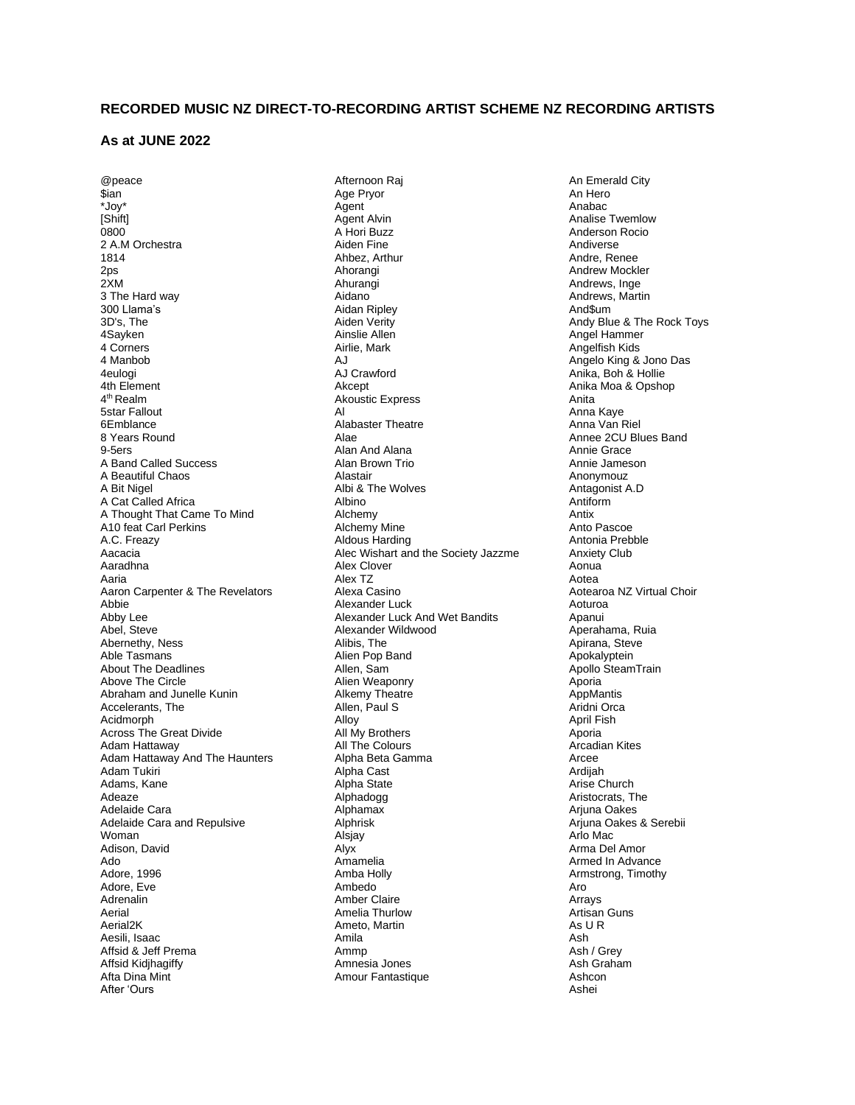## **RECORDED MUSIC NZ DIRECT-TO-RECORDING ARTIST SCHEME NZ RECORDING ARTISTS**

## **As at JUNE 2022**

@peace \$ian \*Joy\* [Shift] 0800 2 A.M Orchestra 1814  $2<sub>ps</sub>$ 2XM 3 The Hard way 300 Llama's 3D's, The 4Sayken 4 Corners 4 Manbob 4eulogi 4th Element 4<sup>th</sup> Realm 5star Fallout 6Emblance 8 Years Round 9-5ers A Band Called Success A Beautiful Chaos A Bit Nigel A Cat Called Africa A Thought That Came To Mind A10 feat Carl Perkins A.C. Freazy Aacacia Aaradhna Aaria Aaron Carpenter & The Revelators Abbie Abby Lee Abel, Steve Abernethy, Ness Able Tasmans About The Deadlines Above The Circle Abraham and Junelle Kunin Accelerants, The Acidmorph Across The Great Divide Adam Hattaway Adam Hattaway And The Haunters Adam Tukiri Adams, Kane Adeaze Adelaide Cara Adelaide Cara and Repulsive Woman Adison, David Ado Adore, 1996 Adore, Eve Adrenalin Aerial Aerial2K Aesili, Isaac Affsid & Jeff Prema Affsid Kidjhagiffy Afta Dina Mint After 'Ours

Afternoon Raj Age Pryor Agent Agent Alvin A Hori Buzz Aiden Fine Ahbez, Arthur Ahorangi Ahurangi Aidano Aidan Ripley Aiden Verity Ainslie Allen Airlie, Mark A.I AJ Crawford Akcept Akoustic Express Al Alabaster Theatre Alae Alan And Alana Alan Brown Trio Alastair Albi & The Wolves Albino Alchemy Alchemy Mine Aldous Harding Alec Wishart and the Society Jazzme Alex Clover Alex TZ Alexa Casino Alexander Luck Alexander Luck And Wet Bandits Alexander Wildwood Alibis, The Alien Pop Band Allen, Sam Alien Weaponry Alkemy Theatre Allen, Paul S Alloy All My Brothers All The Colours Alpha Beta Gamma Alpha Cast Alpha State Alphadogg Alphamax Alphrisk Alsjay Alyx Amamelia Amba Holly Ambedo Amber Claire Amelia Thurlow Ameto, Martin Amila Ammp Amnesia Jones Amour Fantastique

An Emerald City An Hero Anabac Analise Twemlow Anderson Rocio Andiverse Andre, Renee Andrew Mockler Andrews, Inge Andrews, Martin And\$um Andy Blue & The Rock Toys Angel Hammer Angelfish Kids Angelo King & Jono Das Anika, Boh & Hollie Anika Moa & Opshop Anita Anna Kaye Anna Van Riel Annee 2CU Blues Band Annie Grace Annie Jameson Anonymouz Antagonist A.D Antiform Antix Anto Pascoe Antonia Prebble Anxiety Club Aonua Aotea Aotearoa NZ Virtual Choir Aoturoa Apanui Aperahama, Ruia Apirana, Steve Apokalyptein Apollo SteamTrain Aporia AppMantis Aridni Orca April Fish Aporia Arcadian Kites Arcee Ardijah Arise Church Aristocrats, The Arjuna Oakes Arjuna Oakes & Serebii Arlo Mac Arma Del Amor Armed In Advance Armstrong, Timothy Aro Arrays Artisan Guns As U R Ash Ash / Grey Ash Graham Ashcon Ashei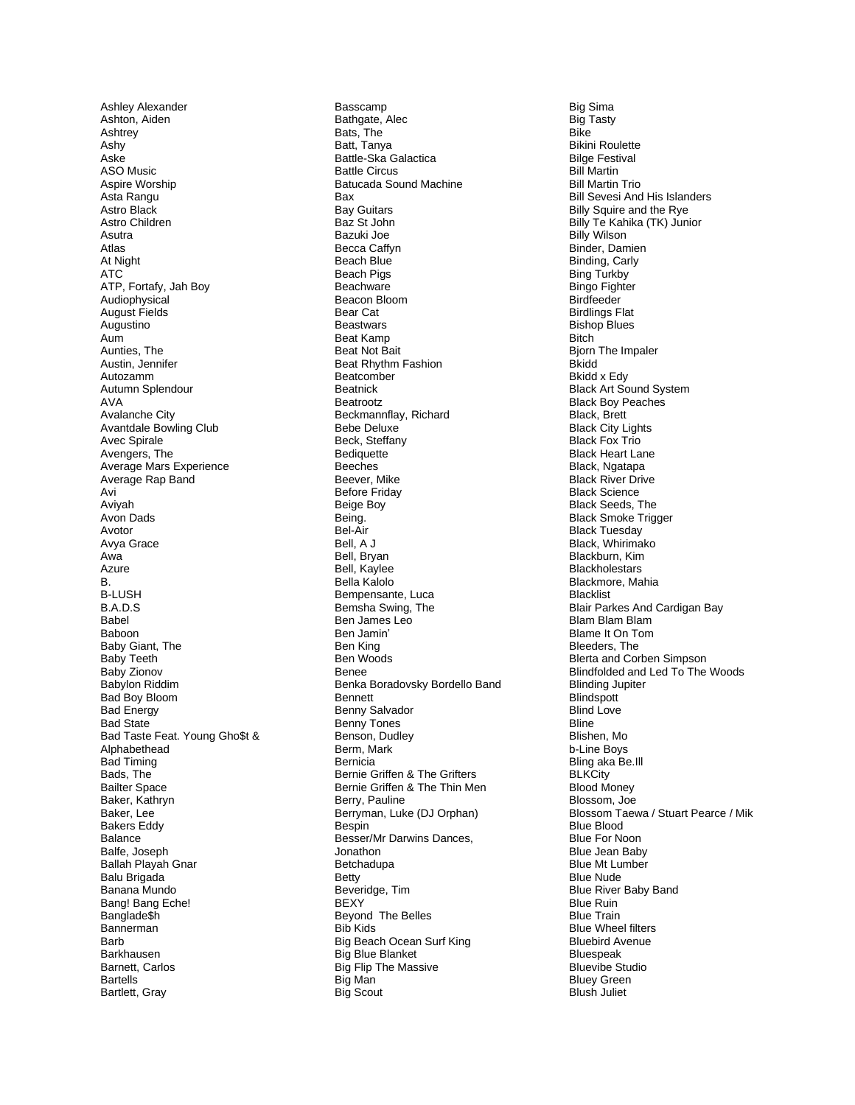Ashley Alexander Ashton, Aiden Ashtrey Ashy Aske ASO Music Aspire Worship Asta Rangu Astro Black Astro Children Asutra Atlas At Night **ATC** ATP, Fortafy, Jah Boy Audiophysical **August Fields** Augustino Aum Aunties, The Austin, Jennifer Autozamm Autumn Splendour **AVA** Avalanche City Avantdale Bowling Club Avec Spirale Avengers, The Average Mars Experience Average Rap Band Avi Aviyah Avon Dads Avotor Avya Grace Awa Azure  $B.$ **B-LUSH** B.A.D.S Babel Baboon Baby Giant, The Baby Teeth Baby Zionov Babylon Riddim Bad Boy Bloom **Bad Energy** Bad State Bad Taste Feat. Young Gho\$t & Alphabethead **Bad Timing** Bads, The **Bailter Space** Baker, Kathryn Baker, Lee **Bakers Eddy** Balance Balfe, Joseph Ballah Playah Gnar Balu Brigada Banana Mundo Bang! Bang Eche! Banglade\$h Bannerman **Rarh** Barkhausen Barnett, Carlos **Bartells** Bartlett, Gray

Basscamp Bathgate, Alec Bats, The Batt, Tanya Battle-Ska Galactica **Battle Circus Batucada Sound Machine Ray Bay Guitars** Baz St John Bazuki Joe **Becca Caffvn** Beach Blue Beach Pigs Beachware Beacon Bloom **Bear Cat Beastwars** Beat Kamp Beat Not Bait Beat Rhythm Fashion Beatcomber **Beatnick** Beatrootz Beckmannflay, Richard Bebe Deluxe Beck, Steffany Bediquette Beeches Beever, Mike Before Friday **Beige Boy** Being. Bel-Air Bell, A J Bell, Bryan Bell, Kaylee Bella Kalolo Bempensante, Luca Bemsha Swing, The Ben James Leo Ben Jamin' Ben King Ben Woods **Benee** Benka Boradovsky Bordello Band Bennett Benny Salvador Benny Tones Benson, Dudley Berm, Mark Bernicia Bernie Griffen & The Grifters Bernie Griffen & The Thin Men Berry, Pauline Berryman, Luke (DJ Orphan) Bespin Besser/Mr Darwins Dances, Jonathon Betchadupa **Betty** Beveridge, Tim **BEXY** Beyond The Belles Bib Kids Big Beach Ocean Surf King Big Blue Blanket Big Flip The Massive Big Man **Big Scout** 

**Big Sima** Big Tasty **Bike Bikini Roulette Bilge Festival Bill Martin Bill Martin Trio Bill Sevesi And His Islanders** Billy Squire and the Rye Billy Te Kahika (TK) Junior **Billy Wilson** Binder, Damien Binding, Carly **Bing Turkby Bingo Fighter** Birdfeeder **Birdlings Flat Bishop Blues Bitch Bjorn The Impaler Bkidd Bkidd x Edv Black Art Sound System Black Boy Peaches** Black, Brett **Black City Lights Black Fox Trio Black Heart Lane** Black, Ngatapa **Black River Drive Black Science Black Seeds, The Black Smoke Trigger Black Tuesday** Black, Whirimako Blackburn, Kim **Blackholestars** Blackmore, Mahia **Blacklist** Blair Parkes And Cardigan Bay Blam Blam Blam Blame It On Tom Bleeders. The Blerta and Corben Simpson Blindfolded and Led To The Woods **Blinding Jupiter** Blindspott **Blind Love Bline** Blishen, Mo b-Line Bovs Bling aka Be.Ill **BLKCity Blood Money** Blossom, Joe Blossom Taewa / Stuart Pearce / Mik **Blue Blood Blue For Noon Blue Jean Baby Blue Mt Lumber Blue Nude Blue River Baby Band Blue Ruin Blue Train Blue Wheel filters Bluebird Avenue Bluespeak Bluevibe Studio Bluey Green** Blush Juliet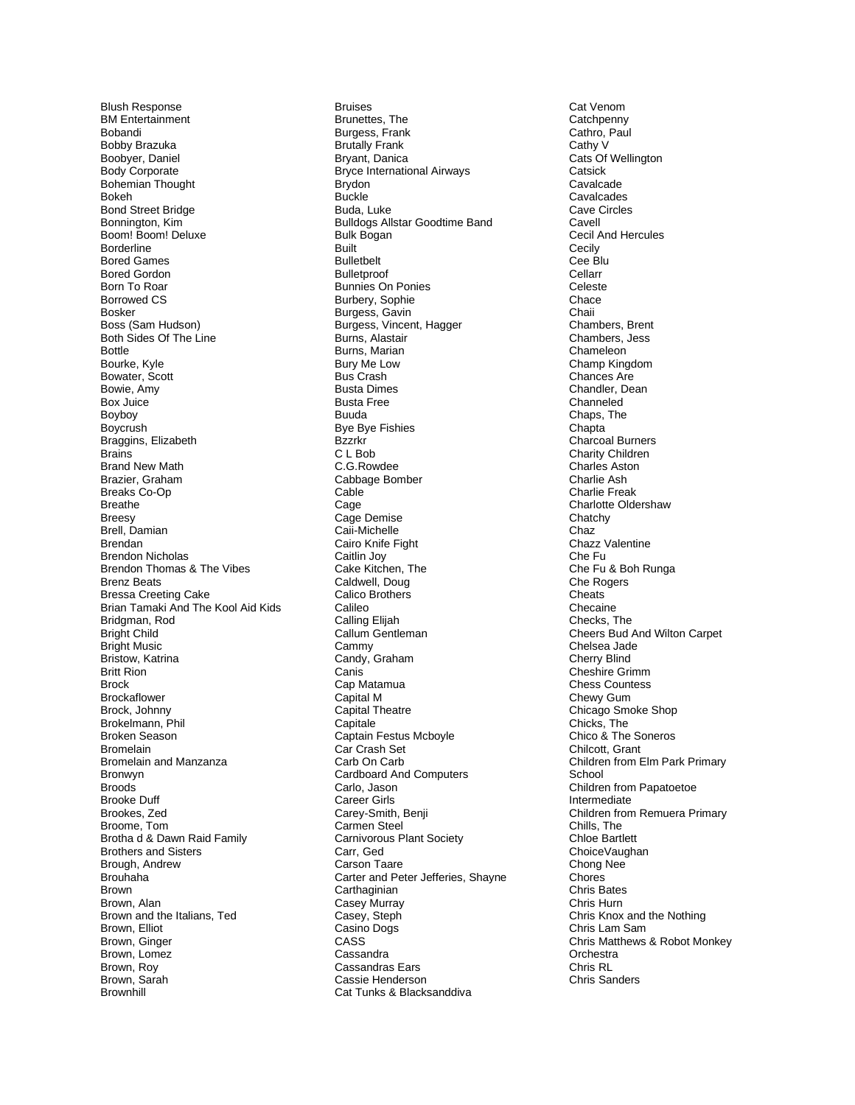Blush Response BM Entertainment Bobandi Bobby Brazuka Boobyer, Daniel Body Corporate Bohemian Thought Bokeh Bond Street Bridge Bonnington, Kim Boom! Boom! Deluxe Borderline Bored Games Bored Gordon Born To Roar Borrowed CS Bosker Boss (Sam Hudson) Both Sides Of The Line Bottle Bourke, Kyle Bowater, Scott Bowie, Amy Box Juice Boyboy Boycrush Braggins, Elizabeth **Brains** Brand New Math Brazier, Graham Breaks Co-Op Breathe Breesy Brell, Damian Brendan Brendon Nicholas Brendon Thomas & The Vibes Brenz Beats Bressa Creeting Cake Brian Tamaki And The Kool Aid Kids Bridgman, Rod Bright Child Bright Music Bristow, Katrina Britt Rion Brock **Brockaflower** Brock, Johnny Brokelmann, Phil Broken Season Bromelain Bromelain and Manzanza Bronwyn **Broods** Brooke Duff Brookes, Zed Broome, Tom Brotha d & Dawn Raid Family Brothers and Sisters Brough, Andrew Brouhaha Brown Brown, Alan Brown and the Italians, Ted Brown, Elliot Brown, Ginger Brown, Lomez Brown, Roy Brown, Sarah **Brownhill** 

Bruises Brunettes, The Burgess, Frank Brutally Frank Bryant, Danica Bryce International Airways Brydon Buckle Buda, Luke Bulldogs Allstar Goodtime Band Bulk Bogan Built Bulletbelt **Bulletproof** Bunnies On Ponies Burbery, Sophie Burgess, Gavin Burgess, Vincent, Hagger Burns, Alastair Burns, Marian Bury Me Low Bus Crash Busta Dimes Busta Free Buuda Bye Bye Fishies Bzzrkr C L Bob C.G.Rowdee Cabbage Bomber **Cable** Cage Cage Demise Caii-Michelle Cairo Knife Fight Caitlin Joy Cake Kitchen, The Caldwell, Doug Calico Brothers Calileo Calling Elijah Callum Gentleman Cammy Candy, Graham Canis Cap Matamua Capital M Capital Theatre **Capitale** Captain Festus Mcboyle Car Crash Set Carb On Carb Cardboard And Computers Carlo, Jason Career Girls Carey-Smith, Benji Carmen Steel Carnivorous Plant Society Carr, Ged Carson Taare Carter and Peter Jefferies, Shayne **Carthaginian** Casey Murray Casey, Steph Casino Dogs CASS Cassandra Cassandras Ears Cassie Henderson Cat Tunks & Blacksanddiva

Cat Venom **Catchpenny** Cathro, Paul Cathy V Cats Of Wellington **Catsick** Cavalcade Cavalcades Cave Circles Cavell Cecil And Hercules Cecily Cee Blu Cellarr Celeste **Chace** Chaii Chambers, Brent Chambers, Jess Chameleon Champ Kingdom Chances Are Chandler, Dean Channeled Chaps, The **Chapta** Charcoal Burners Charity Children Charles Aston Charlie Ash Charlie Freak Charlotte Oldershaw Chatchy Chaz Chazz Valentine Che Fu Che Fu & Boh Runga Che Rogers **Cheats** Checaine Checks, The Cheers Bud And Wilton Carpet Chelsea Jade Cherry Blind Cheshire Grimm Chess Countess Chewy Gum Chicago Smoke Shop Chicks, The Chico & The Soneros Chilcott, Grant Children from Elm Park Primary School Children from Papatoetoe Intermediate Children from Remuera Primary Chills, The Chloe Bartlett ChoiceVaughan Chong Nee **Chores** Chris Bates Chris Hurn Chris Knox and the Nothing Chris Lam Sam Chris Matthews & Robot Monkey **Orchestra** Chris RL Chris Sanders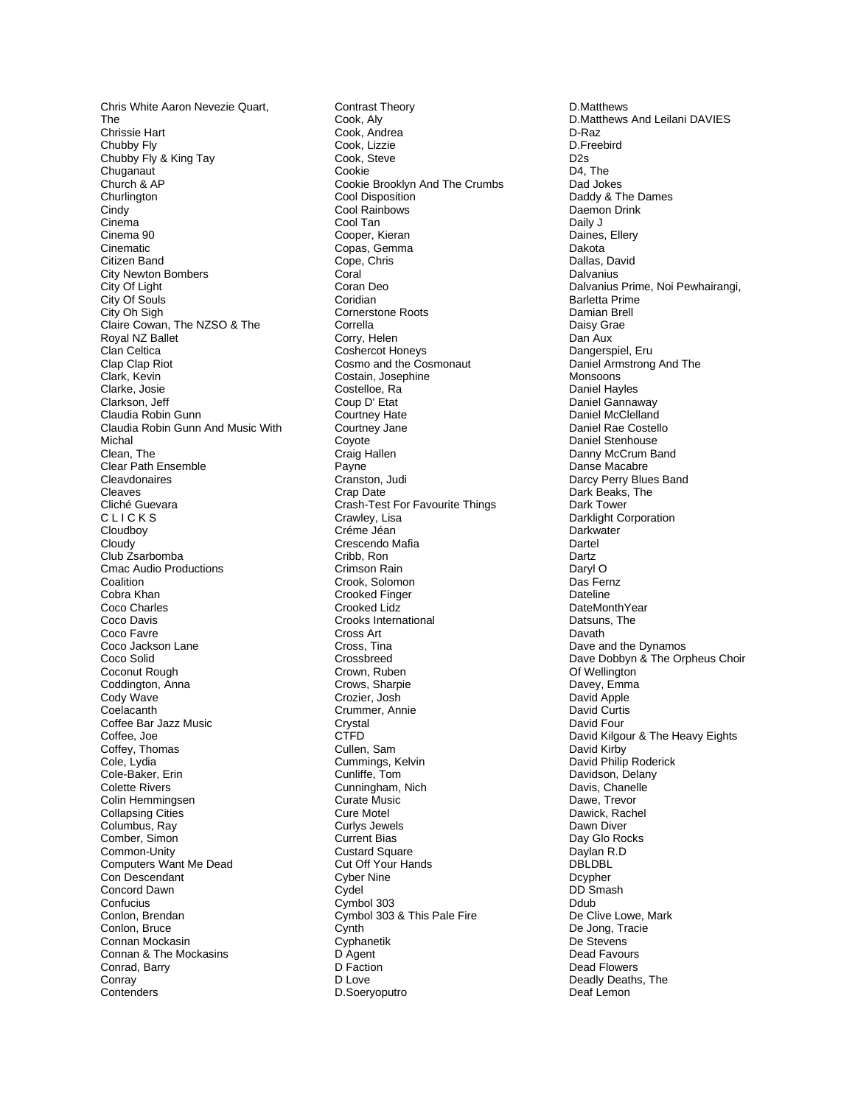Chris White Aaron Nevezie Quart, The Chrissie Hart Chubby Fly Chubby Fly & King Tay **Chuganaut** Church & AP **Churlington Cindy** Cinema Cinema 90 Cinematic Citizen Band City Newton Bombers City Of Light City Of Souls City Oh Sigh Claire Cowan, The NZSO & The Royal NZ Ballet Clan Celtica Clap Clap Riot Clark, Kevin Clarke, Josie Clarkson, Jeff Claudia Robin Gunn Claudia Robin Gunn And Music With Michal Clean, The Clear Path Ensemble **Cleavdonaires** Cleaves Cliché Guevara C L I C K S Cloudboy Cloudy Club Zsarbomba Cmac Audio Productions **Coalition** Cobra Khan Coco Charles Coco Davis Coco Favre Coco Jackson Lane Coco Solid Coconut Rough Coddington, Anna Cody Wave **Coelacanth** Coffee Bar Jazz Music Coffee, Joe Coffey, Thomas Cole, Lydia Cole-Baker, Erin Colette Rivers Colin Hemmingsen Collapsing Cities Columbus, Ray Comber, Simon Common-Unity Computers Want Me Dead Con Descendant Concord Dawn **Confucius** Conlon, Brendan Conlon, Bruce Connan Mockasin Connan & The Mockasins Conrad, Barry **Conrav Contenders** 

Contrast Theory Cook, Aly Cook, Andrea Cook, Lizzie Cook, Steve Cookie Cookie Brooklyn And The Crumbs Cool Disposition Cool Rainbows Cool Tan Cooper, Kieran Copas, Gemma Cope, Chris Coral Coran Deo Coridian Cornerstone Roots Corrella Corry, Helen Coshercot Honeys Cosmo and the Cosmonaut Costain, Josephine Costelloe, Ra Coup D' Etat Courtney Hate Courtney Jane Coyote Craig Hallen Payne Cranston, Judi Crap Date Crash-Test For Favourite Things Crawley, Lisa Créme Jéan Crescendo Mafia Cribb, Ron Crimson Rain Crook, Solomon Crooked Finger Crooked Lidz Crooks International Cross Art Cross, Tina Crossbreed Crown, Ruben Crows, Sharpie Crozier, Josh Crummer, Annie Crystal CTFD Cullen, Sam Cummings, Kelvin Cunliffe, Tom Cunningham, Nich Curate Music Cure Motel Curlys Jewels Current Bias Custard Square Cut Off Your Hands Cyber Nine **Cydel** Cymbol 303 Cymbol 303 & This Pale Fire **Cynth** Cyphanetik D Agent D Faction D Love D.Soeryoputro

D.Matthews D.Matthews And Leilani DAVIES D-Raz D.Freebird D2s D4, The Dad Jokes Daddy & The Dames Daemon Drink Daily J Daines, Ellery Dakota Dallas, David **Dalvanius** Dalvanius Prime, Noi Pewhairangi, Barletta Prime Damian Brell Daisy Grae Dan Aux Dangerspiel, Eru Daniel Armstrong And The Monsoons Daniel Hayles Daniel Gannaway Daniel McClelland Daniel Rae Costello Daniel Stenhouse Danny McCrum Band Danse Macabre Darcy Perry Blues Band Dark Beaks, The Dark Tower Darklight Corporation **Darkwater** Dartel Dartz Daryl O Das Fernz Dateline DateMonthYear Datsuns, The Davath Dave and the Dynamos Dave Dobbyn & The Orpheus Choir Of Wellington Davey, Emma David Apple David Curtis David Four David Kilgour & The Heavy Eights David Kirby David Philip Roderick Davidson, Delany Davis, Chanelle Dawe, Trevor Dawick, Rachel Dawn Diver Day Glo Rocks Daylan R.D DBLDBL Dcypher DD Smash Ddub De Clive Lowe, Mark De Jong, Tracie De Stevens Dead Favours Dead Flowers Deadly Deaths, The Deaf Lemon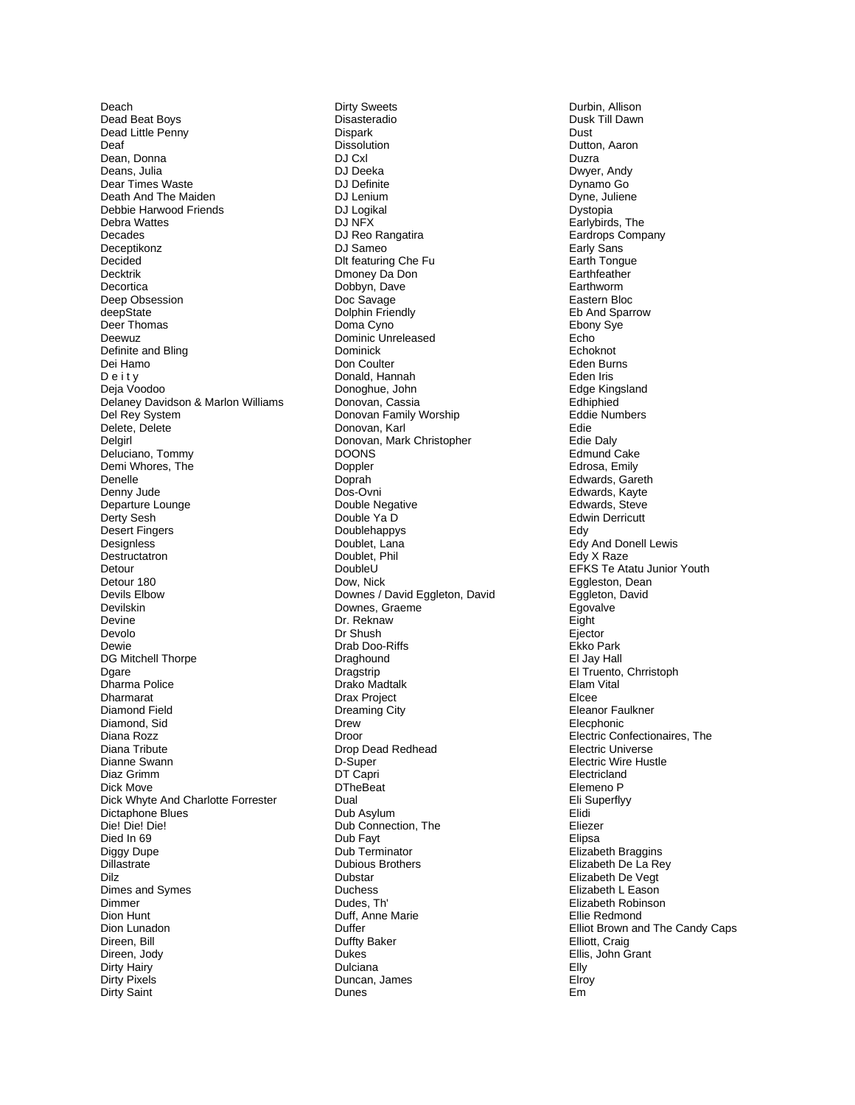Deach Dead Beat Boys Dead Little Penny Deaf Dean, Donna Deans, Julia Dear Times Waste Death And The Maiden Debbie Harwood Friends Debra Wattes Decades Deceptikonz Decided **Decktrik** Decortica Deep Obsession deepState Deer Thomas Deewuz Definite and Bling Dei Hamo Deity Deja Voodoo Delaney Davidson & Marlon Williams Del Rey System Delete, Delete Delgirl Deluciano, Tommy Demi Whores, The Denelle Denny Jude Departure Lounge Derty Sesh Desert Fingers Designless Destructatron Detour Detour 180 Devils Elbow Devilskin Devine Devolo Dewie DG Mitchell Thorpe Dgare Dharma Police Dharmarat Diamond Field Diamond, Sid Diana Rozz Diana Tribute Dianne Swann Diaz Grimm Dick Move Dick Whyte And Charlotte Forrester Dictaphone Blues Die! Die! Die! Died In 69 Diggy Dupe Dillastrate Dilz Dimes and Symes Dimmer Dion Hunt Dion Lunadon Direen, Bill Direen, Jody Dirty Hairy **Dirty Pixels** Dirty Saint

**Dirty Sweets** Disasteradio Dispark Dissolution DJ Cxl DJ Deeka DJ Definite DJ Lenium DJ Logikal DJ NFX DJ Reo Rangatira DJ Sameo Dlt featuring Che Fu Dmoney Da Don Dobbyn, Dave Doc Savage Dolphin Friendly Doma Cyno Dominic Unreleased **Dominick** Don Coulter Donald, Hannah Donoghue, John Donovan, Cassia Donovan Family Worship Donovan, Karl Donovan, Mark Christopher **DOONS** Doppler Doprah Dos-Ovni Double Negative Double Ya D Doublehappys Doublet, Lana Doublet, Phil DoubleU Dow. Nick Downes / David Eggleton, David Downes, Graeme Dr. Reknaw Dr Shush Drab Doo-Riffs Draghound Dragstrip Drako Madtalk Drax Project **Dreaming City** Drew Droor Drop Dead Redhead D-Super DT Capri **DTheBeat** Dual Dub Asylum Dub Connection. The Dub Fayt Dub Terminator **Dubious Brothers** Dubstar Duchass Dudes, Th' Duff, Anne Marie Duffer **Duffty Baker** Dukes Dulciana Duncan, James Dunes

Durbin, Allison Dusk Till Dawn Dust Dutton, Aaron Duzra Dwyer, Andy Dynamo Go Dyne, Juliene Dystopia Earlybirds, The Eardrops Company Early Sans Earth Tonque Earthfeather Earthworm Eastern Bloc Eb And Sparrow Ebony Sye Echo Echoknot Eden Burns Eden Iris Edge Kingsland Edhiphied Eddie Numbers Edie Edie Dalv Edmund Cake Edrosa, Emily Edwards, Gareth Edwards, Kayte Edwards, Steve **Edwin Derricutt** Edy Edy And Donell Lewis Edy X Raze EFKS Te Atatu Junior Youth Eggleston, Dean Eggleton, David Egovalve Eight Ejector Ekko Park El Jay Hall El Truento, Chrristoph Elam Vital Elcee Eleanor Faulkner Elecphonic Electric Confectionaires, The Electric Universe Electric Wire Hustle Electricland Elemeno P Eli Superflyy Elidi Eliezer Elipsa Elizabeth Braggins Elizabeth De La Rey Elizabeth De Vegt Elizabeth L Eason Elizabeth Robinson Ellie Redmond Elliot Brown and The Candy Caps Elliott, Craig Ellis, John Grant Elly Elroy  $F<sub>m</sub>$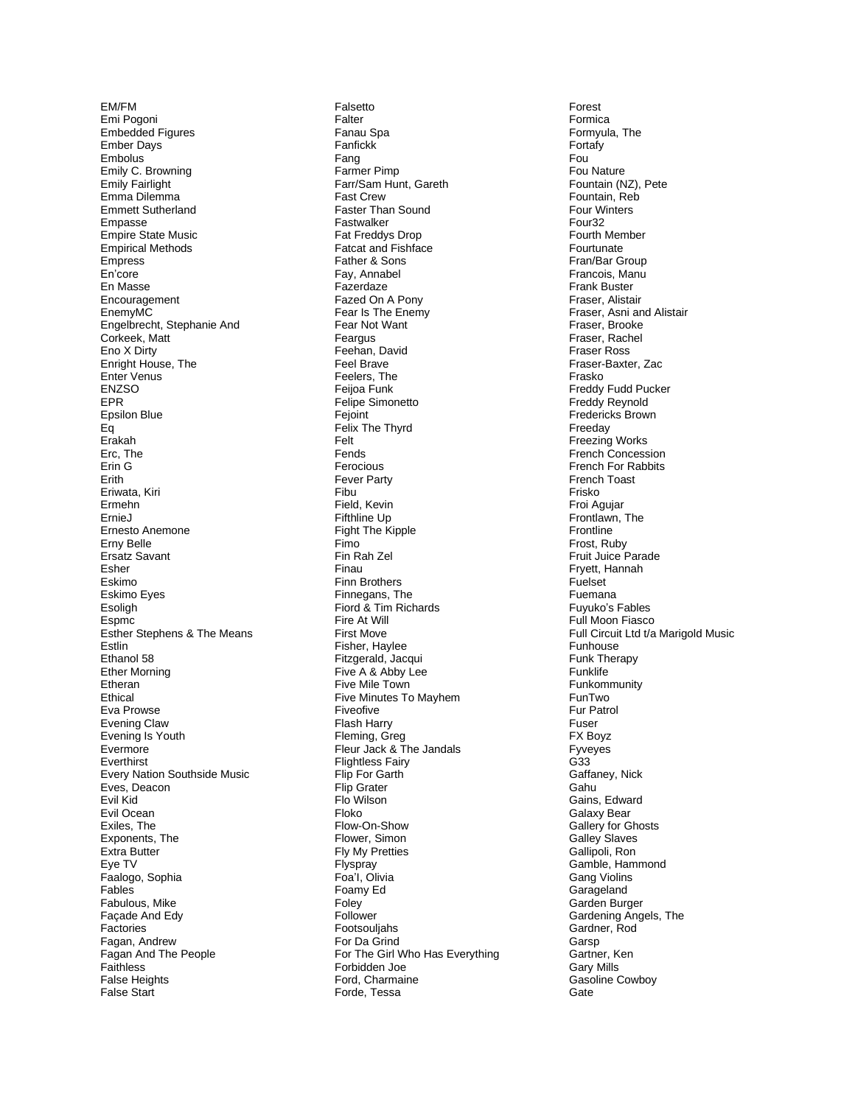EM/FM Emi Pogoni **Embedded Figures Ember Days** Embolus Emily C. Browning Emily Fairlight Emma Dilemma **Emmett Sutherland** Empasse **Empire State Music Empirical Methods** Empress En'core En Masse Encouragement EnemyMC Engelbrecht, Stephanie And Corkeek, Matt Eno X Dirty Enright House, The Enter Venus **ENZSO EPR** Epsilon Blue Eq Erakah Erc, The Erin G Erith Eriwata, Kiri Ermehn ErnieJ Ernesto Anemone Erny Belle Ersatz Savant Esher Eskimo Eskimo Eyes Esoligh Espmc Esther Stephens & The Means Estlin Ethanol 58 **Ether Morning** Etheran Ethical Eva Prowse **Evening Claw** Evening Is Youth Evermore Everthirst Every Nation Southside Music Eves, Deacon Evil Kid Evil Ocean Exiles. The Exponents, The Extra Butter Eye TV Faalogo, Sophia Fables Fabulous, Mike Façade And Edy Factories Fagan, Andrew Fagan And The People Faithless **False Heights** False Start

Falsetto Falter Fanau Spa Fanfickk Fang Farmer Pimp Farr/Sam Hunt, Gareth **Fast Crew** Faster Than Sound Fastwalker Fat Freddys Drop Fatcat and Fishface Father & Sons Fav. Annabel Fazerdaze Fazed On A Pony Fear Is The Enemy Fear Not Want Feargus Feehan, David Feel Brave Feelers, The Feijoa Funk Felipe Simonetto Fejoint Felix The Thyrd Felt Fends Ferocious **Fever Party** Fibu Field, Kevin Fifthline Up Fight The Kipple Fimo Fin Rah Zel Finau **Finn Brothers** Finnegans, The Fiord & Tim Richards Fire At Will **First Move** Fisher, Haylee Fitzgerald, Jacqui Five A & Abby Lee Five Mile Town Five Minutes To Mayhem Fiveofive Flash Harry Fleming, Greg Fleur Jack & The Jandals **Flightless Fairy** Flip For Garth Flip Grater Flo Wilson Floko Flow-On-Show Flower, Simon Fly My Pretties Flyspray Foa'l, Olivia Foamy Ed Foley Follower Footsouljahs For Da Grind For The Girl Who Has Everything Forbidden Joe Ford, Charmaine Forde, Tessa

Forest Formica Formyula, The Fortafy Fou Fou Nature Fountain (NZ), Pete Fountain, Reb Four Winters Four<sub>32</sub> Fourth Member Fourtunate Fran/Bar Group Francois, Manu **Frank Buster** Fraser, Alistair Fraser, Asni and Alistair Fraser, Brooke Fraser, Rachel Fraser Ross Fraser-Baxter, Zac Frasko Freddy Fudd Pucker Freddy Revnold Fredericks Brown Freeday Freezing Works French Concession French For Rabbits **French Toast**  $Fricko$ Froi Agujar Frontlawn, The Frontline Frost. Rubv Fruit Juice Parade Fryett, Hannah Fuelset Fuemana Fuyuko's Fables Full Moon Fiasco Full Circuit Ltd t/a Marigold Music Funhouse Funk Therapy **Funklife** Funkommunity FunTwo Fur Patrol Fuser FX Boyz Fyveves G33 Gaffaney, Nick Gahu Gains, Edward Galaxy Bear Gallery for Ghosts Galley Slaves Gallipoli, Ron Gamble, Hammond **Gang Violins** Garageland Garden Burger Gardening Angels, The Gardner, Rod Garsp Gartner, Ken **Gary Mills** Gasoline Cowboy Gate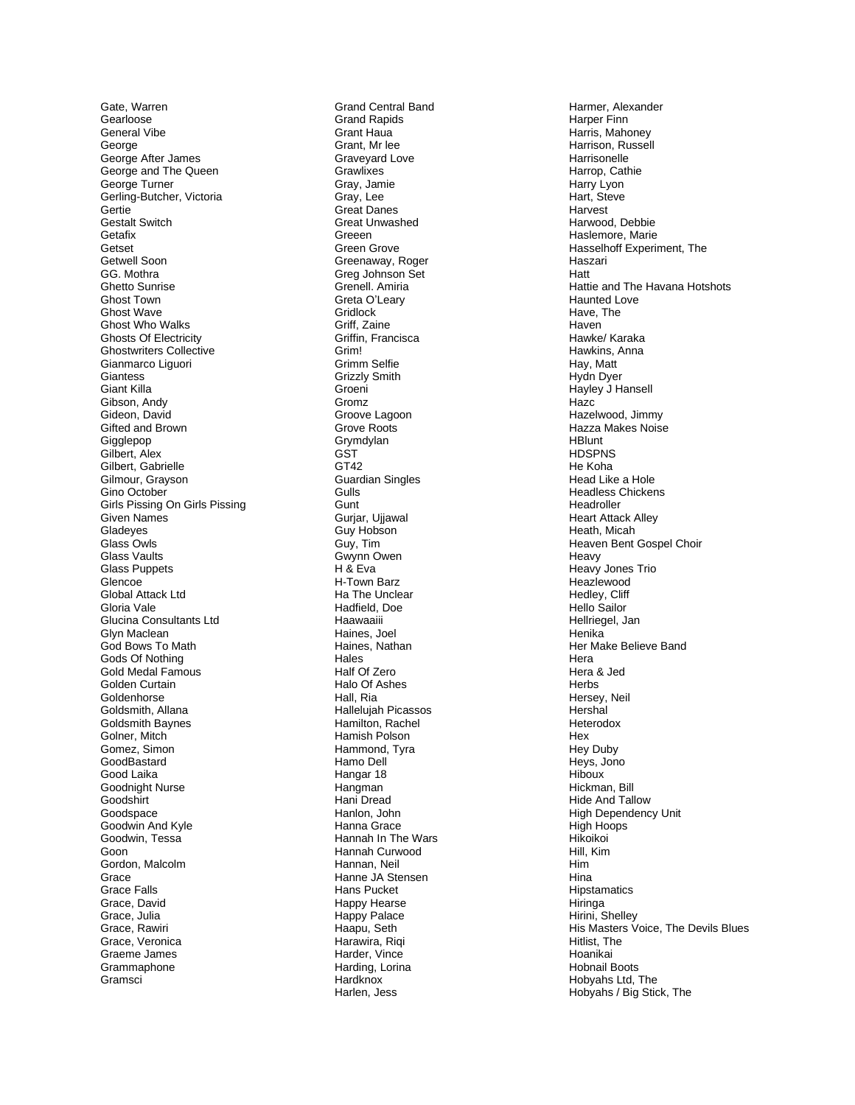Gate, Warren Gearloose General Vibe George George After James George and The Queen George Turner Gerling-Butcher, Victoria Gertie **Gestalt Switch** Getafix Getset Getwell Soon GG. Mothra **Ghetto Sunrise Ghost Town Ghost Wave Ghost Who Walks Ghosts Of Electricity Ghostwriters Collective** Gianmarco Liquori Giantess **Giant Killa** Gibson, Andv Gideon, David Gifted and Brown Gigglepop Gilbert, Alex Gilbert, Gabrielle Gilmour. Gravson Gino October Girls Pissing On Girls Pissing Given Names Gladeyes Glass Owls **Glass Vaults** Glass Puppets Glencoe Global Attack Ltd Gloria Vale Glucina Consultants Ltd Glyn Maclean God Bows To Math Gods Of Nothing Gold Medal Famous Golden Curtain Goldenhorse Goldsmith, Allana **Goldsmith Baynes** Golner, Mitch Gomez, Simon GoodBastard Good Laika Goodnight Nurse Goodshirt Goodspace Goodwin And Kyle Goodwin, Tessa Goon Gordon, Malcolm Grace Grace Falls Grace, David Grace, Julia Grace, Rawiri Grace, Veronica Graeme James Grammaphone Gramsci

**Grand Central Band Grand Rapids** Grant Haua Grant, Mr lee Graveyard Love Grawlixes Gray, Jamie Grav. Lee **Great Danes Great Unwashed** Greeen Green Grove Greenaway, Roger Greg Johnson Set Grenell, Amiria Greta O'Learv Gridlock Griff, Zaine Griffin, Francisca Grim! **Grimm Selfie Grizzly Smith** Groeni Gromz Groove Lagoon Grove Roots Grymdylan GŚT GT42 **Guardian Singles** Gulls Gunt Gurjar, Ujjawal Guy Hobson Guy, Tim Gwynn Owen H & Eva H-Town Barz Ha The Unclear Hadfield, Doe Haawaaiii Haines, Joel Haines, Nathan Hales Half Of Zero Halo Of Ashes Hall, Ria Hallelujah Picassos Hamilton, Rachel Hamish Polson Hammond, Tyra Hamo Dell Hangar 18 Hangman Hani Dread Hanlon, John Hanna Grace Hannah In The Wars Hannah Curwood Hannan, Neil Hanne JA Stensen Hans Pucket Happy Hearse Happy Palace Haapu, Seth Harawira, Riqi Harder, Vince Harding, Lorina Hardknox Harlen, Jess

Harmer, Alexander Harper Finn Harris, Mahoney Harrison, Russell Harrisonelle Harrop, Cathie Harry Lyon Hart, Steve Harvest Harwood, Debbie Haslemore, Marie Hasselhoff Experiment, The Haszari Hatt Hattie and The Havana Hotshots **Haunted Love** Have The Haven Hawke/ Karaka Hawkins, Anna Hay, Matt Hydn Dyer Hayley J Hansell Hazc Hazelwood, Jimmy Hazza Makes Noise **HBlunt HDSPNS** He Koha Head Like a Hole **Headless Chickens** Headroller **Heart Attack Alley** Heath, Micah Heaven Bent Gospel Choir Heavy Heavy Jones Trio Heazlewood Hedlev, Cliff Hello Sailor Hellriegel, Jan Henika Her Make Believe Band Hera Hera & Jed Herbs Hersey, Neil Hershal Heterodox Hex Hev Duby Heys, Jono Hiboux Hickman, Bill Hide And Tallow **High Dependency Unit** High Hoops Hikoikoi Hill, Kim **Him** Hina Hipstamatics Hiringa Hirini, Shellev His Masters Voice, The Devils Blues Hitlist, The Hoanikai Hobnail Boots Hobyahs Ltd, The Hobyahs / Big Stick, The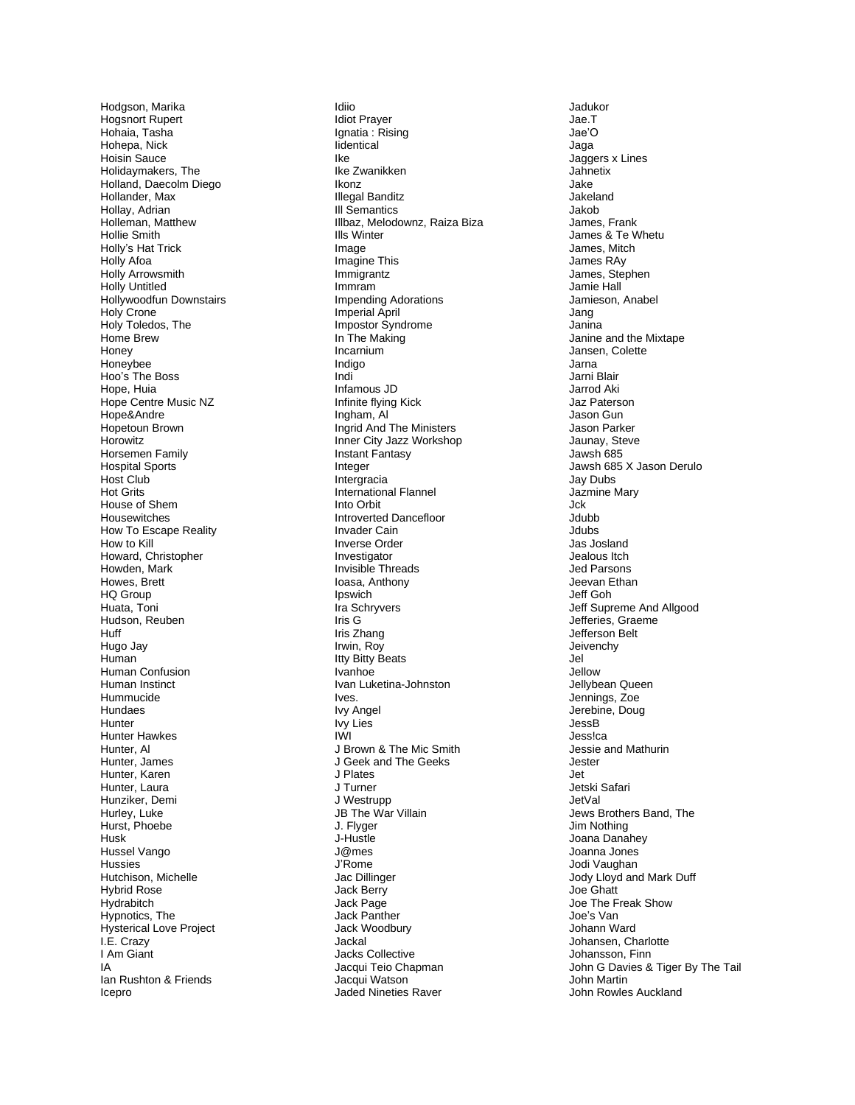Hodgson, Marika Hogsnort Rupert Hohaia, Tasha Hohepa, Nick Hoisin Sauce Holidaymakers, The Holland, Daecolm Diego Hollander, Max Hollay, Adrian Holleman, Matthew Hollie Smith Holly's Hat Trick Holly Afoa Holly Arrowsmith **Holly Untitled** Hollywoodfun Downstairs Holy Crone Holy Toledos, The Home Brew Honey Honeybee Hoo's The Boss Hope, Huia Hope Centre Music NZ Hope&Andre Hopetoun Brown Horowitz Horsemen Family **Hospital Sports** Host Club **Hot Grits** House of Shem Housewitches How To Escape Reality How to Kill Howard, Christopher Howden, Mark Howes, Brett HQ Group Huata, Toni Hudson, Reuben Huff Hugo Jay Human Human Confusion Human Instinct Hummucide Hundaes Hunter **Hunter Hawkes** Hunter, Al Hunter, James Hunter, Karen Hunter, Laura Hunziker, Demi Hurley, Luke Hurst. Phoebe Husk Hussel Vango **Hussies** Hutchison, Michelle Hybrid Rose Hydrabitch Hypnotics, The Hysterical Love Project I.E. Crazy I Am Giant IA Ian Rushton & Friends Icepro

Idiio **Idiot Prayer** Ignatia: Rising lidentical Ike Ike Zwanikken Ikonz **Illegal Banditz III Semantics** Illbaz, Melodownz, Raiza Biza **Ills Winter** Image Imagine This Immigrantz Immram **Impending Adorations Imperial April** Impostor Syndrome In The Making Incarnium Indigo Indi Infamous JD Infinite flving Kick Ingham, Al Ingrid And The Ministers Inner City Jazz Workshop Instant Fantasy Integer Intergracia International Flannel Into Orbit Introverted Dancefloor Invader Cain Inverse Order Investigator Invisible Threads loasa, Anthony Ipswich Ira Schryvers Iris G Iris Zhang Irwin, Roy **Itty Bitty Beats Ivanhoe** Ivan Luketina-Johnston Ives. **Ivy Angel** lvy Lies **IVALE** J Brown & The Mic Smith J Geek and The Geeks J Plates J Turner J Westrupp JB The War Villain J. Flvaer J-Hustle J@mes J'Rome Jac Dillinger Jack Berry Jack Page Jack Panther Jack Woodbury Jackal **Jacks Collective** Jacqui Teio Chapman Jacqui Watson Jaded Nineties Raver

Jadukor Jae T Jae'O Jaga Jaggers x Lines Jahnetix Jake Jakeland Jakob James, Frank James & Te Whetu James, Mitch James RAy James, Stephen Jamie Hall Jamieson, Anabel Jang Janina Janine and the Mixtape Jansen, Colette Jarna Jarni Blair **Jarrod Aki** Jaz Paterson Jason Gun Jason Parker Jaunay, Steve Jawsh 685 Jawsh 685 X Jason Derulo Jav Dubs Jazmine Mary Jck Jdubb Jdubs Jas Josland Jealous Itch Jed Parsons Jeevan Ethan Jeff Goh Jeff Supreme And Allgood Jefferies, Graeme Jefferson Belt Jeivenchy Jel Jellow Jellybean Queen Jennings, Zoe Jerebine, Doug JessB Jessica Jessie and Mathurin Jester Jet **Jetski Safari** JetVal Jews Brothers Band, The Jim Nothing Joana Danahey Joanna Jones Jodi Vaughan Jody Lloyd and Mark Duff Ing Chatt Joe The Freak Show Joe's Van Johann Ward Johansen, Charlotte Johansson, Finn John G Davies & Tiger By The Tail John Martin John Rowles Auckland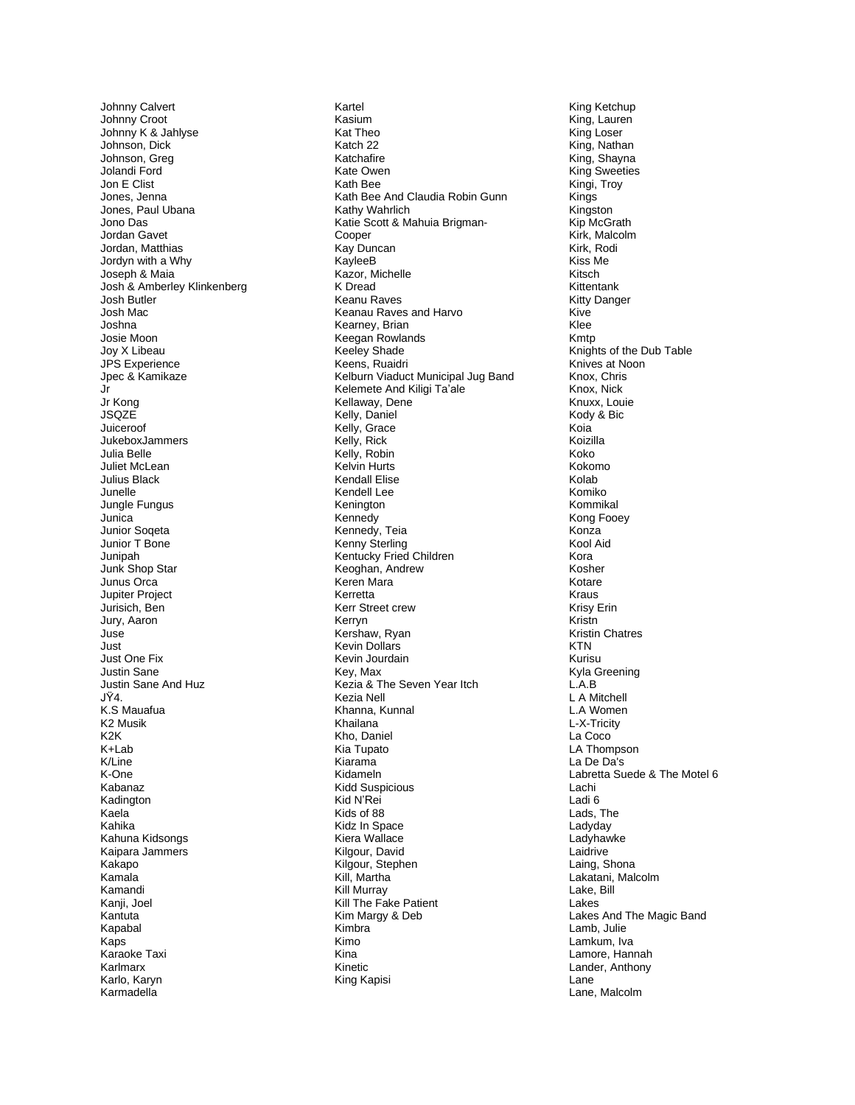Johnny Calvert Johnny Croot Johnny K & Jahlyse Johnson, Dick Johnson, Greg Jolandi Ford Jon E Clist Jones, Jenna Jones, Paul Ubana Jono Das Jordan Gavet Jordan, Matthias Jordyn with a Why Joseph & Maia Josh & Amberley Klinkenberg Josh Butler Josh Mac Joshna Josie Moon Jov X Libeau **JPS** Experience Jpec & Kamikaze Jr Jr Kona **JSQZE** Juiceroof JukeboxJammers Julia Belle Juliet McLean **Julius Black** Junelle Jungle Fungus Junica Junior Sogeta Junior T Bone Junipah Junk Shop Star Junus Orca Jupiter Project Jurisich, Ben Jury, Aaron Juse Just Just One Fix Justin Sane Justin Sane And Huz IŸ4 K.S Mauafua K2 Musik K<sub>2</sub>K K+Lab K/Line K-One Kahanaz Kadington Kaela Kahika Kahuna Kidsongs Kaipara Jammers Kakapo Kamala Kamandi Kanji, Joel Kantuta Kapabal Kaps Karaoke Taxi Karlmarx Karlo, Karyn Karmadella

Kartel Kasium Kat Theo Katch 22 Katchafire Kate Owen Kath Bee Kath Bee And Claudia Robin Gunn Kathy Wahrlich Katie Scott & Mahuia Brigman-Cooper Kay Duncan KayleeB Kazor, Michelle K Dread Keanu Raves Keanau Raves and Harvo Kearney, Brian Keegan Rowlands Keeley Shade Keens, Ruaidri Kelburn Viaduct Municipal Jug Band Kelemete And Kiligi Ta'ale Kellawav, Dene Kelly, Daniel Kelly, Grace<br>Kelly, Rick Kelly, Robin Kelvin Hurts **Kendall Elise** Kendell Lee Kenington Kennedy<br>Kennedy, Teia Kenny Sterling Kentucky Fried Children Keoghan, Andrew Keren Mara Kerretta Kerr Street crew Kerryn Kershaw, Ryan Kevin Dollars Kevin Jourdain Kev. Max Kezia & The Seven Year Itch Kezia Nell Khanna, Kunnal Khailana Kho, Daniel Kia Tupato Kiarama Kidameln **Kidd Suspicious** Kid N'Rei Kids of 88 Kidz In Space Kiera Wallace Kilgour, David Kilgour, Stephen Kill, Martha Kill Murrav Kill The Fake Patient Kim Margy & Deb Kimbra Kimo Kina Kinetic King Kapisi

King Ketchup King, Lauren King Loser King, Nathan King, Shayna King Sweeties Kingi, Troy Kinas Kingston Kip McGrath Kirk, Malcolm Kirk. Rodi Kiss Me Kitsch Kittentank **Kitty Danger** Kive Klee Kmtp Knights of the Dub Table Knives at Noon Knox, Chris Knox, Nick Knuxx, Louie Kody & Bic Koia Koizilla Koko Kokomo Kolab Komiko Kommikal Kong Fooey Konza Kool Aid Kora Kosher Kotare Kraus Krisy Erin Kristn **Kristin Chatres KTN** Kurisu Kvla Greening  $L.A.B$ L A Mitchell L.A Women L-X-Tricity La Coco LA Thompson La De Da's Labretta Suede & The Motel 6 I achi Ladi 6 Lads, The Ladyday Ladyhawke Laidrive Laing, Shona Lakatani, Malcolm Lake, Bill Lakes Lakes And The Magic Band Lamb, Julie Lamkum, Iva Lamore, Hannah Lander, Anthony Lane Lane, Malcolm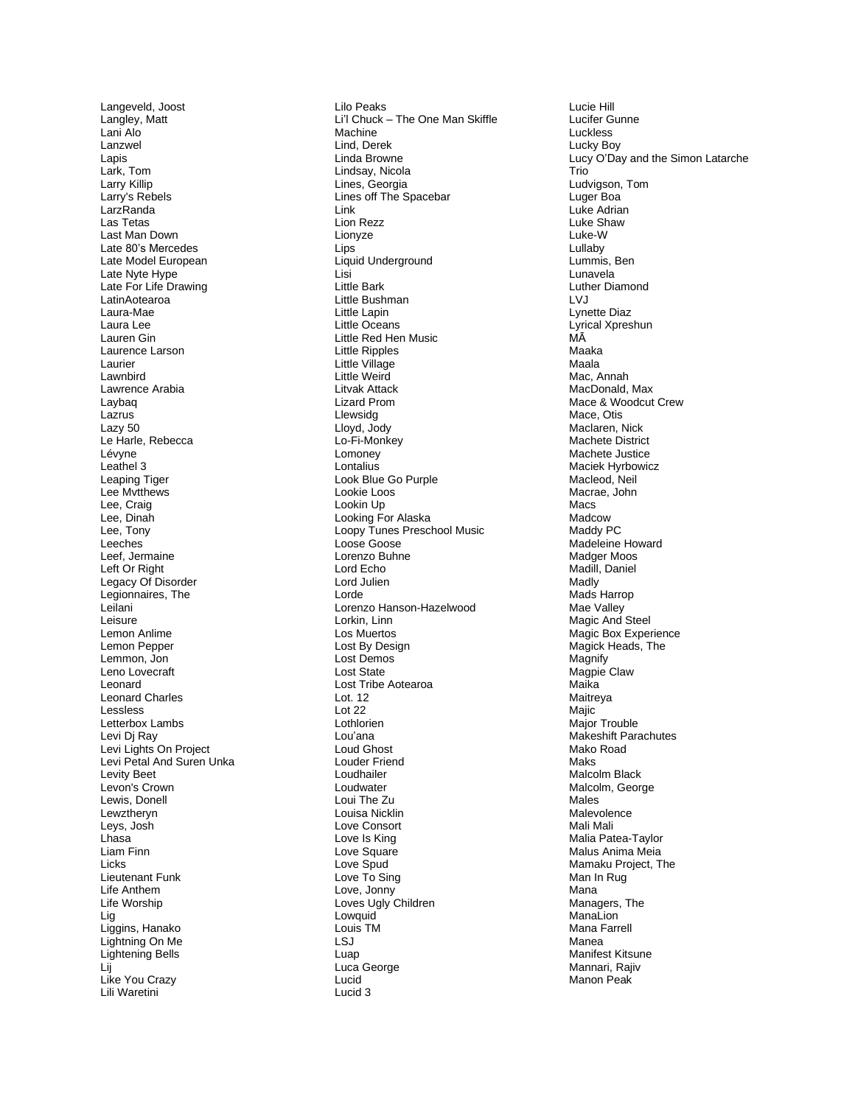Langeveld, Joost Langley, Matt Lani Alo Lanzwel La pis Lark, Tom Larry Killip Larry's Rebels LarzRanda Las Tetas L ast Man Down Late 80's Mercedes Late Model European L ate Nyte Hy p e Late For Life Drawing LatinAotearoa Laura-Mae Laura Lee Lauren Gin Laurence Larson Laurier La wnbird Lawrence Arabia Laybaq Lazrus L a z y 5 0 Le Harle, Rebecca Lévyne Leathel 3 Leaping Tiger Lee Mvtthews Lee, Craig Lee, Din a h L ee, Tony Leeches Leef, Jer main e Left Or Right Legacy Of Disorder Legionnaires, The Leila ni Leis ure Lemo n Anlime Lemo n Pep per Lemmon, Jo n Leno Lovecraft Leonard Leonard Charles L essless Letterbox Lambs Le vi D j Ray Levi Lights On Project Levi Petal And Suren Unka Levity Beet Levon's Crown Lewis, D onell Lewztheryn L eys , Jo s h Lhasa Liam Finn Licks Lieutenant Funk Life A nthem Life Worship Lig Liggins, Hanako Lig htning On Me Lightenin g Bells Li j Like You Crazy Lili Waretini

Lilo Peak s Li'l C huck – The One Man Skif fle M achine Lind, Derek Lind a Brow n e Lindsay, Nic ola Lines, G eorgi a Lines off The Spacebar Link Lion Rezz Lionyze Lips Liquid Underground Lisi Little Bark Little Bushman Lit tle Lapin Little Oceans Little Red Hen Music Little Ripples Little Village Little Weird Litvak Attack Liz ard P rom Lle wsidg Lloyd, Jody Lo - Fi-Monkey **Lomoney** L ontalius Look Blue Go Purple Lookie Loos Lookin Up Looki ng Fo r Alaska Loopy Tunes Preschool Music Lo ose Goo s e Lorenzo Buhne L o rd Ech o Lord Julien Lorde Lorenzo Hanson-Hazelwood Lorkin, Linn Los Muertos L ost By D e sig n Lost Demos Lost State Lost Tribe Aotearoa Lot. 1 2 Lot 22 **Lothlorien** Lou'ana Loud Ghost Lou der F riend **Loudhailer** Loudwater Loui The Z u Loui sa Nicklin Love Consort Lo v e Is King Love S q u are Love Spud Love To Sing Love, Jonny Lov es Ugly Children Lowquid Louis TM LS J Luap Luca Georg e Lu cid L ucid 3

Lucie Hill Lucifer Gunne **Luckless** Luck y Boy Lucy O'Day and the Simon Latarche Trio Ludvigs on, Tom Luger Boa Luke A d rian Luke S h a w Luk e - W L ullaby Lummis, Ben Lunavela Luther Diam ond L V J Lynette Diaz Lyrical Xpreshun MĀ Maaka Maala Mac, Anna h MacDonald, Max Mace & Woodcut Crew Mace, Otis Maclaren, Nic k Ma c hete District Machete Justice Maciek Hyrbowicz Macleod, Neil Macrae, John Macs Madcow Maddy PC Madelein e Ho w ard Madger M oos Madill, Dani el Madly Mads Harro p Mae Valley M a gic An d Ste el Magic Box Experience Magick Heads, The Mag nify M a g pie Claw Mai k a Maitr eya M aji c Major Trouble Makeshift Parachutes Mako R oad Maks M alcolm Black Malcolm, George Males Malevolence Mali M ali Malia Patea-Taylor Malu s Anima Mei a Mamak u Pr oject , The M an In R u g M ana Managers, Th e ManaLion Man a Farrell Mane a Manifest Kitsune Mannari, Rajiv Manon Peak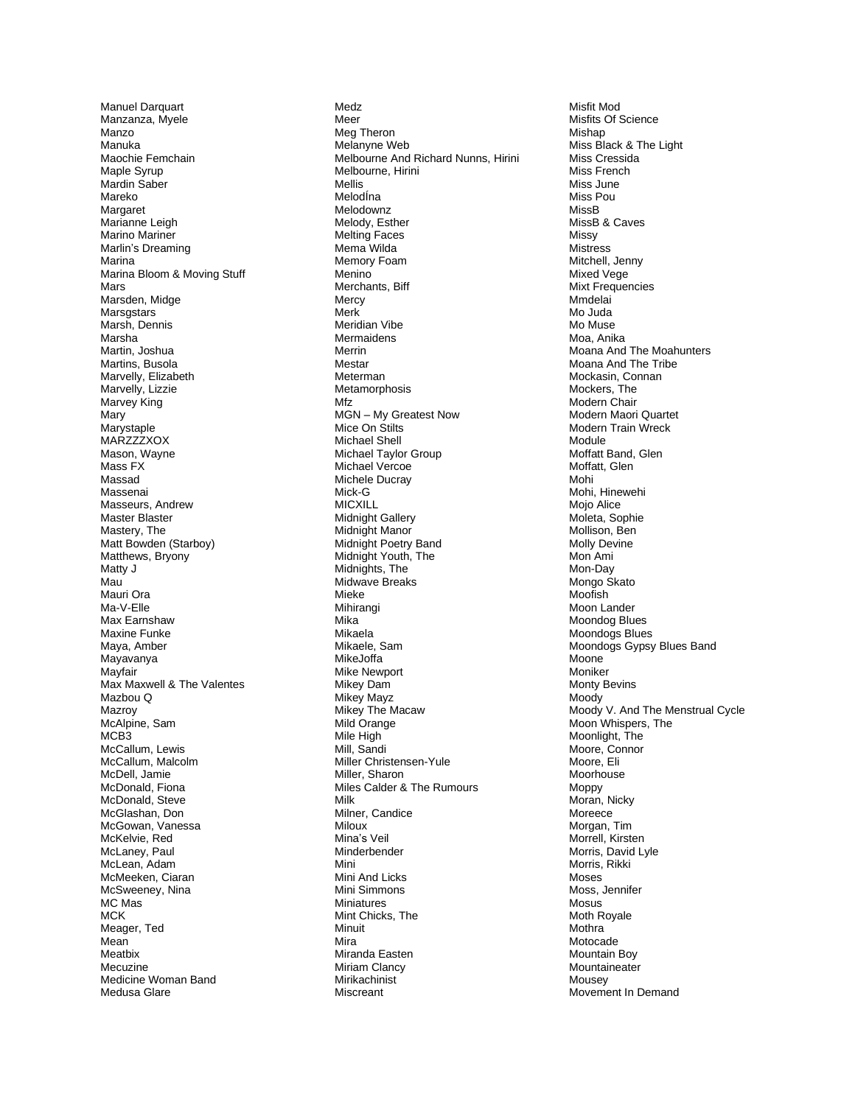Manuel Darquart Manzan za, Myele Manzo Ma nuka Maochie Femchain Maple Syrup M ardin Sa b e r Mare k o Margaret Marianne Leigh Marino Mariner Marlin's Dreamin g Marina Marina Bl oom & Moving Stuf f Mars Mars den , Mid g e **Marsgstars** Marsh, Dennis Marsha Martin, Josh u a Martins, Bu sola Marvelly, Elizabeth Marvelly , Li z zie Marvey King Mar y Maryst a ple MA R ZZZXOX Mason, Wayne Mass FX Massad Massenai Masseurs, Andrew Ma ster Blaster Mastery, The Matt Bowden (Starboy) Matthews, Bryony Matty J M a u Mau ri Ora Ma-V-Elle Max Ea r nshaw Maxin e F unke M a y a, A mbe r Mayavanya May f air Max Maxwell & The Valentes Mazbou Q M azro y McAlpine, Sam MCB 3 M c Callum , Lewis McCallum, Malcolm Mc D ell, Ja mie McDonald, Fiona McDonald, Steve Mc Gla s han, Don McGowan, Vanessa McKelvie, Red McLaney, Paul McLean, Adam McMeeken, Ciaran McSweeney, Nin a MC Mas M C K Meager, Ted Mea n M eatbix Mecuzine Medicine Woman Band Med u s a Gla re

Medz Meer Meg Theron Melanyne Web Melbourne And Richard Nunns, Hirini Melbourne, Hirini Mellis MelodÍna Melodownz Melody, Esther Melting Face s Me m a Wild a Memory Foam **Menino** Merchants, Bif f Mercy Merk M e ridian Vibe **Mermaidens** Merri n Mestar Meterman Metamorphosis Mfz MGN - My Greatest Now Mic e O n S tilts Michael Shell Mi c h ael T ayl or Group Michael Vercoe Michel e Ducray Mick-G MICXIL L Midnight Gallery Midnight Manor Midnight Poetry Band Midni g ht Youth, The Midnights, The Midwave Breaks Mieke Mihirangi Mika Mika ela Mikael e, Sa m MikeJoffa Mike Newport Mikey Dam Mikey Mayz Mikey The Macaw Mild O range Mile Hig h Mill, Sandi Miller Christensen-Yule Miller, Sharon Miles Calder & The Rumours Milk Milner, Ca ndice Miloux Mina's V eil Minderbender Mini Mini And Licks Mini Simmon s Miniatures Mint Chicks, The Minuit Mira Miranda Easten Miriam Clancy Mirika chinist Miscreant

Mis fit M o d Mi s fit s Of Science Misha p Mi ss Blac k & Th e Light Miss Cressid a Miss French Miss J une Miss Po u MissB MissB & Ca ves Mis s y Mistr ess Mitchell, Jenny Mixed V ege Mixt Frequencies Mmdelai M o J uda Mo M u s e Moa, Anika Moana And The Moahunters Moana And The Tribe M ock asin , Conna n Mockers, The M ode rn Chair Modern Maori Quartet M ode r n T r ain Wreck Modul e Moffatt Band, Glen M o f f att, Glen Mohi Mohi, Hinewe hi Mojo Alice Moleta, Sophie M ollison, Ben Molly Devine M o n Ami Mon-Day Mongo Skato Moo fis h Moon Lander Moondog Blues Moondogs Blues Moon dogs Gyps y Blues Ban d M oone Moniker Monty Bevins Moody Moody V. And The Menstrual Cycle Moon Whispers, The Moonlight, The Moore, Connor Moore, Eli M o orhouse Moppy Moran, Nicky Mor eece Morgan, Tim Morrell, Kirsten Morris, David Lyle Morris , Rik ki Mose s Moss, Jennifer Mosus Moth Royale M o thr a Motocade Mountain Boy Mountaineater Mousey Movement In Demand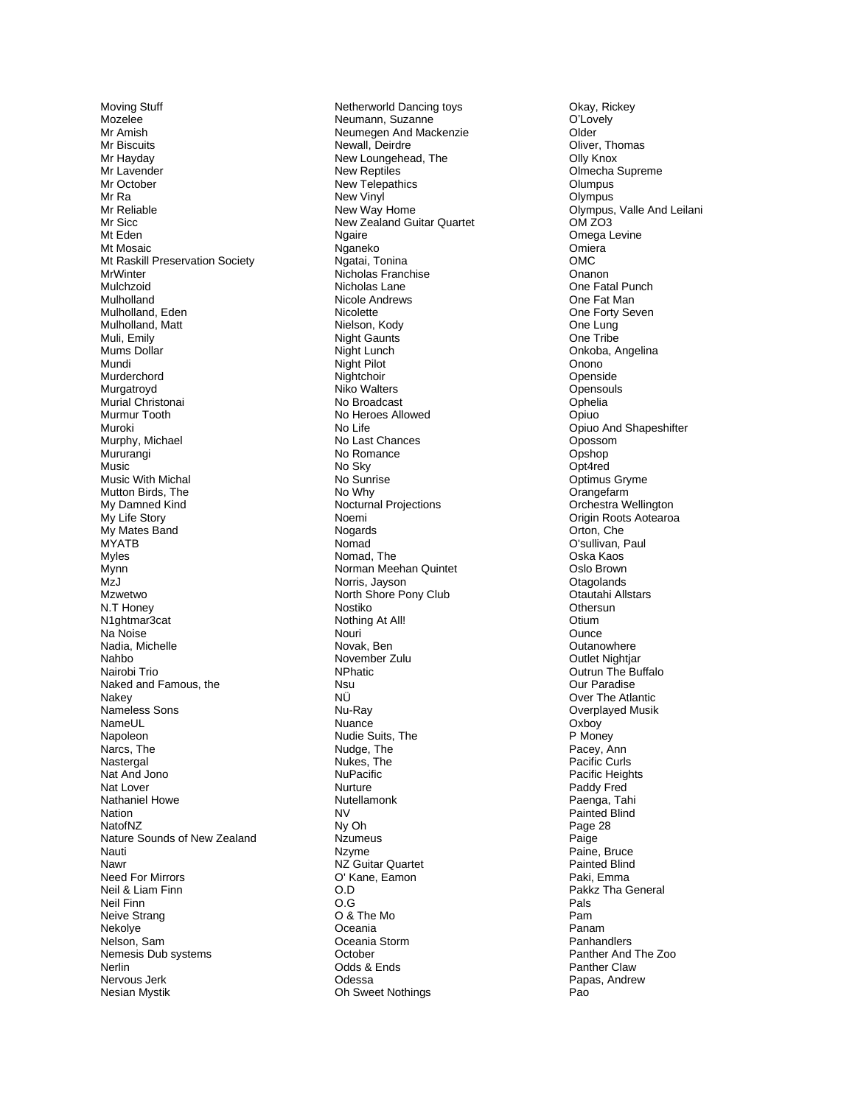M oving Stuff Mozelee Mr A mis h Mr Biscuits Mr Hayday Mr Lavender M r O cto ber M r Ra Mr Relia ble Mr Sicc Mt Ede n Mt Mosaic Mt Raskill Preservation Society **MrWinter** Mulchzoid Mulholland Mulholla nd, Eden Mulholland, Matt M uli, E mily Mums D ollar Mu ndi Murderchord Murgatroyd Murial Christonai Murmur Tooth Muroki Murphy, Michael **Mururangi** Music Mu sic With Michal Mutton Birds, The M y D amne d Kind My Lif e Story My Mates Band MYATB Myles Mynn MzJ Mzwetw o N.T Honey N1ghtmar3cat Na N oise N adia, Michelle Na hbo N airo bi Trio N aked and F amous, the Nakey Nameless Sons NameU L **Napoleon** Narcs, The Nastergal Nat And Jono Nat Lover Nathaniel Howe **Nation** NatofNZ Nature Sounds of New Zealand N auti Nawr Need For Mirrors Neil & Liam Finn Neil Finn Neive Stra n g Nekolye Nelson, Sam Nemesis Dub systems Nerlin Nervous Jer k Nesi a n Mys tik

Netherworld Dancing toys Neumann, Suzanne Neumegen And Mackenzie Newall, Deir dre New Loungehead, The New Reptiles New Telepathics New Vin yl New Way Hom e New Zealand Guitar Quartet **Ngaire** Nganeko Ngatai, Tonin a Nicholas Fr anchis e Nicholas Lane Nicole Andrews **Nicolette** Niel s on, Kody Night Gaunts Night Lu nch Nig ht Pilot Nightchoir Niko W alters No Broa d c ast No Heroes Allowed No Life No Last Chances No Romance No Sky No Sun rise No Wh y Nocturnal Projections Noemi Nogards Nomad Nomad, The Norman Meehan Quintet Norris, Jayson North Shore Pony Club Nostiko Not hing At All! Nouri Novak, Be n November Zulu **NPhatic** Ns u N Ü Nu -Ra y **Nuance** Nudie Suits, The N u dge , Th e N u kes, The **NuPacific** Nurture **Nutellamonk** NV<br>Ny Oh **Nzumeus** Nzyme NZ Guitar Quartet O' Kane, Eamon O<sub>D</sub> O.G O & The M o O ceania O cea nia Sto r m October O dds & Ends Od essa Oh Sweet Nothing s

O k ay, Ricke y O'Lovely Older Oliver, Thomas Olly Kno x Olmecha S uprem e **Olumpus** Olympus Olympus, Valle And Leilani O M Z O 3 Ome g a Le vine **Omiera** OMC Onanon One Fatal Punch O n e Fat Man One Forty Seven One Lung One T rib e Onkoba, Angelina Onono Op ensid e Opensouls O p helia Opiuo Opiuo And Shapeshifter Opos som O p s hop Op t 4re d Op timus G ryme **Orangefarm** Orchestra Wellington Origin Root s Aotearoa Orto n, Che O'sullivan, Paul Oska Kaos Oslo Brown **Otagolands** Otautahi Allstars **Othersun Otium Ounce Outanowhere** Outlet Nightjar Outrun The Buffalo Ou r P aradise O ver The Atl antic Overplayed Musik Oxboy P Money Pacey, Ann Pacific Curls P acific Heig hts Paddy Fred Pa eng a , Tahi Pain ted Blin d Page 28 Paige Pain e, Br uce Painted Blind P a ki, E mma Pakkz Tha General Pals Pam Pana m Panhandlers Panther And The Zoo Panther Claw Papas, And rew Pao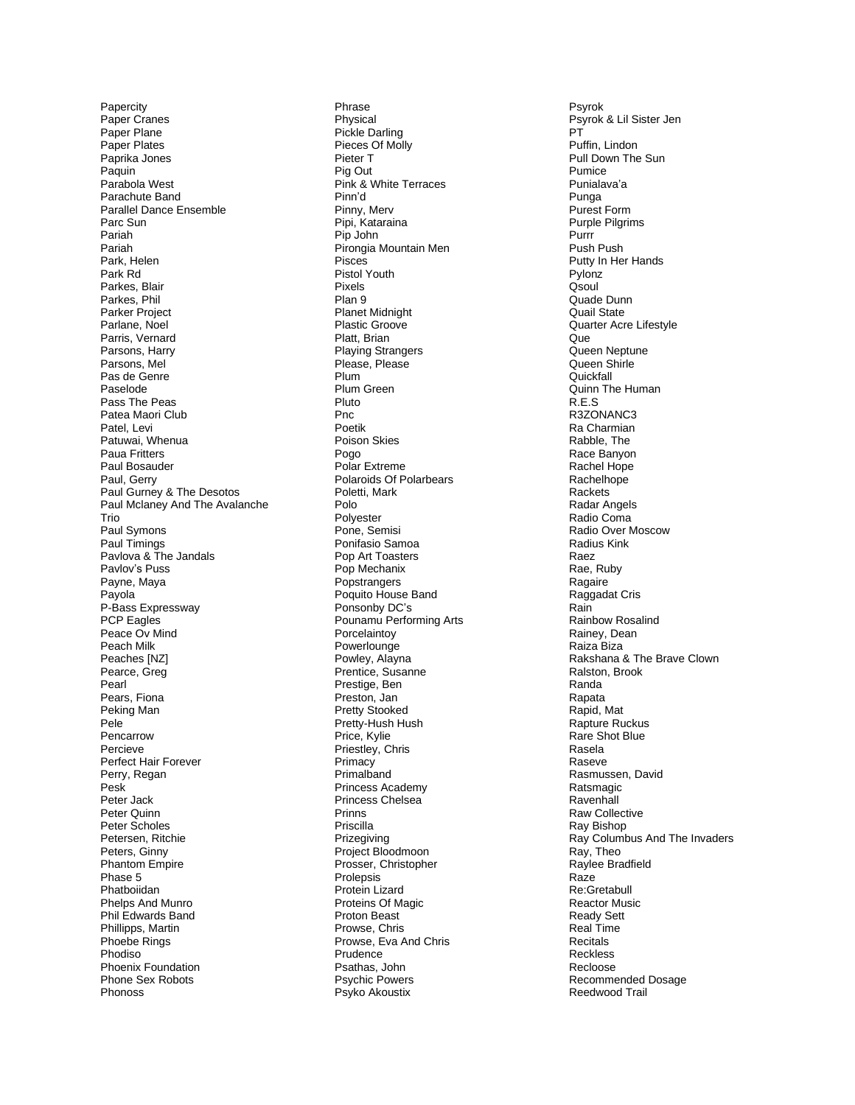Papercity Paper Cranes Pape r Pl ane Paper Plates Paprika Jones Paquin Parabola West Parachute Band Parallel Dance Ensemble Parc Sun Paria h P a riah Park, Helen Park Rd Parkes, Blair Parkes, Phil Parker Project Parlane, Noel Parris, Vernard Parsons, Harry Parsons, Mel Pas de Genre Paselode Pa s s T he Peas Pat e a Maori Club Patel, Levi Patuwai, Wh enu a Paua F ritter s Paul Bosauder Paul, Gerry Paul Gurney & The Desotos Paul Mclaney And The Avalanche Tri o Paul Symons Paul Timings Pavlova & The Jandals Pavlov's Puss Payne, Maya Payol a P-Bass Expressway PCP Eagles Pea c e Ov Mind Pe a c h Milk Peaches [NZ] Pearce, Greg Pearl Pears, Fiona Peking Man P ele Pencarrow Percieve Perfect Hair Forever Perry, Regan P esk Peter Jack P eter Q uin n Peter Scholes Petersen, Ritchie Peters, Gin n y P h antom Em pir e Pha se 5 Phatboiida n Phelp s An d Munro Phil Edwards Band Phillipps, Martin Pho ebe Rings Phodiso Phoenix Foundation Phon e Sex Robots Phonoss

P h rase **Physical** Pickle Darling Pieces O f Molly Pieter T Pig Out Pink & W hite Terr ace s Pinn ' d Pinny, Merv Pipi, Katarain a Pip John Pirongia Mountain Men Pisces Pistol Youth Pix els Pla n 9 Planet Midnight Plastic Groove Platt, Brian Playing Strangers Plea se, Pleas e Plu m Plum Green Pluto Pnc Poeti k Pois o n Skie s Pogo Polar Extreme Polaroids Of Polarbears Poletti, Mark Polo Polyester Pone, Semisi Ponifasio Samoa Pop Art Toasters Pop Mechanix **Popstrangers** Poquito House Band Ponsonby DC's Pou n amu Per for min g Arts Porcelaintoy **Powerlounge** Powley, Alayn a Pren tice, S usanne Prestige, Ben Preston, Jan Pretty Stooked Pretty-Hush Hus h Price, Kylie Priestley, Chris Primacy P rimalban d Princess Academy Princess Chelsea Prinn s Pris cilla P rize giving Project Bloodmoon Prosser, Christopher Prolepsis Protein Lizard Proteins Of Magic Proton Beast Prowse, Chris Prowse, Eva And Chri s Prudence Psatha s , John Psychic Powers Psyko A koustix

Psyrok Psyrok & Lil Sister Jen PT<br>Puffin, Lindon Pull Down The Sun Pumice Punialava ' a Punga Purest Form Purple Pilgrims Purrr P ush P u s h Putty In Her Hands P ylonz Qsoul Quade Dunn Quail State Quarter Acre Lifestyle Q u e Queen Neptune Queen Shirle Quick fall Quinn The Human R.E . S R3ZONA N C 3 R a Charmian Rab ble , T h e Race Banyon Rachel Hope Rachelhope **Rackets** Radar Angels Radio C oma Radio Over Mosc o w R adius Kink R a e z Rae, Ru b y Ragaire Raggadat Cris Rain Rain b o w Ro salin d Rainey, Dean R aiza Biza Rakshana & The Brave Clown R alst on, Brook Randa Rapata R api d , Mat Rapture Ruckus Rare S h ot Blu e Rasela Raseve Rasmuss e n , David **Ratsmagic Ravenhall** Raw Collective Ra y Bi s hop Ray Columbus And The Invaders Ray, Theo Raylee Bradfield Raz e R e:Gr eta bull Reactor Music Ready Sett Real Time Recitals Reckles s Re cloos e R e com mended Dosage Reed w o od Tr ail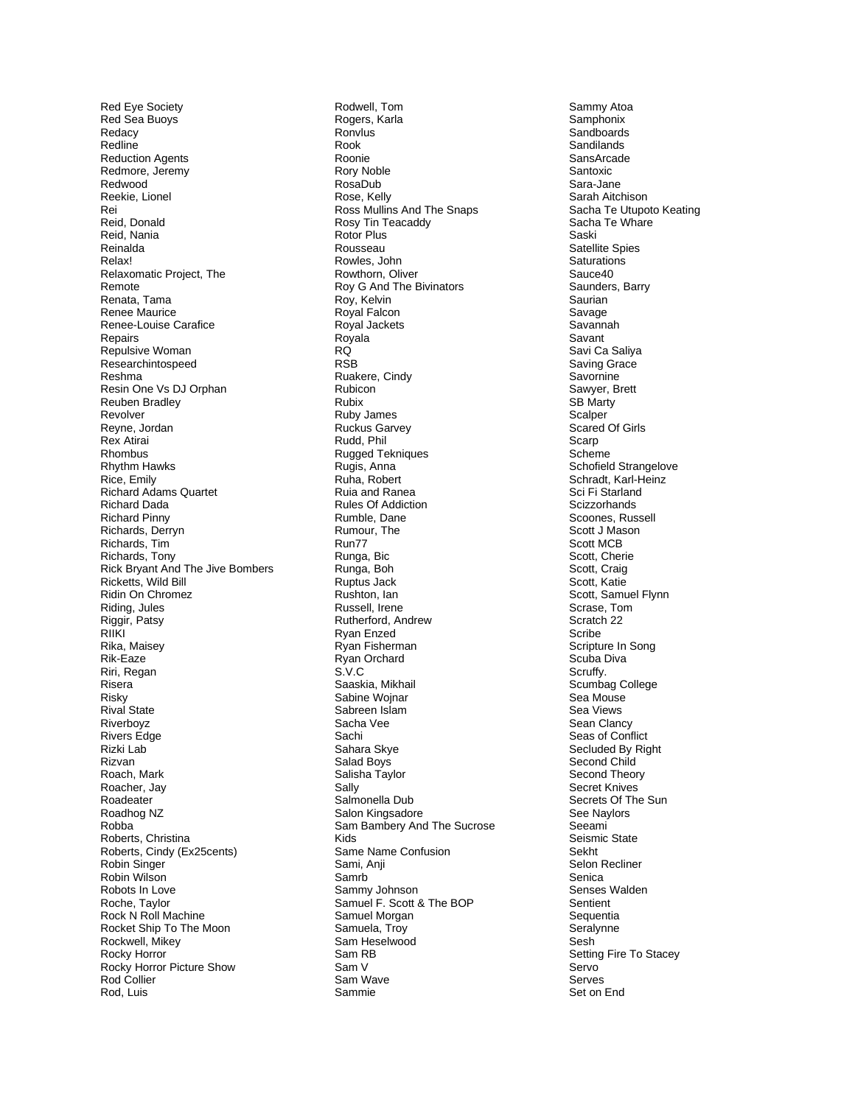Re d E y e Soci ety R ed S e a Buoy s R e dac y Redlin e Reduction Agents Redmore, Jeremy R edwood Reekie, Lionel Rei Reid, Do nal d Reid, Nania R einald a R ela x! Relaxomatic Project, The Re m ote Renata, Tama Renee Maurice Renee-Louise Carafice **Repairs** Repul siv e W oman Researchintospeed Reshm a Resin One Vs DJ Orphan Reuben Bradley Rev olver Reyne, Jordan Re x Atirai **Rhombus** Rhythm Hawks Ric e , Emily Richard Adams Quartet Richa r d Dada Richard Pinny Richards, Derryn Richards, Tim Richards, Tony Rick B ry ant And Th e Jiv e Bomber s Ricketts, Wild Bill Ridin On Chromez Riding, Jules Riggir, Patsy RIIKI Rika, Maisey Rik-Eaze Riri, Regan Risera Risky Rival St ate **Riverboyz** River s Edge Rizki L a b Riz van R o a ch, M ark R oac her , J a y Roadeater Roadhog N Z R obb a Roberts, Christina Roberts, Cindy (Ex25cents) Robin Singer Robin Wilso n Robots In Love R oche, Taylor Rock N Roll Machine Rocket Ship To The Moon Rockwell, Mikey Roc k y Horror R ock y H orror Pi cture Show Rod Collier Rod, Luis

Rodwell, Tom Rogers, Karla Ronvlu s Roo k R ooni e Rory Noble RosaDub Rose, Kelly Ross Mullins And The Snaps Rosy Tin Teacaddy Rotor Plus **Rousseau** R owles, Joh n Rowthorn, Oliver Roy G And The Bivinators Roy, Kelvin Royal F alcon Royal Jackets Roy ala RQ RS B Ruakere, Cindy **Rubicon** R ubi x Ruby James Ruckus Garvey R udd, Phil Rugged Tek niqu e s Rugis, Anna Ruha, Robert Ruia and Ranea Rules Of Addiction Rum ble , Dane Rumour, The Run7 7 Ru nga , Bic R u n g a , Boh Ruptus Jack Rushton, lan Ru s s ell , Irene Rutherford, Andrew R yan E n z e d R y an Fi s herm a n R yan O rchar d S . V.C Saaskia, Mikhail Sabine Wojnar Sabreen Isla m S a c ha Vee Sachi Sahara Skye S ala d Bo y s Salis h a Ta ylor Sally Salmonella Dub Sal on Kingsa dor e Sam B ambery And The Su crose Kid s Same Name Confusion S a mi, Anji Sa m r b Sammy Johnson Samuel F. Scott & The BOP Samu el Morga n Samuela, Troy S am Heselwoo d Sam RB Sam V Sam Wave Sam mie

S a mmy A toa **Samphonix** Sandboards **Sandilands** San s Arc ade Santoxic Sara-Jan e Sarah Aitchison Sacha Te Utupoto Keating Sacha T e W hare Sas ki Satellite S pies Saturations Sauce40 Saunders, Barry Sa u rian S a vag e Sav annah S a v ant Sa vi C a Saliya Saving Grace S avo r nine Sawyer, Brett SB Mart y Scalper Scar e d O f Girls S car p Sch e m e Schofield Strangelove Schradt, Karl-Heinz Sci Fi Starland Scizzorhands Scoones, Russell Scott J Mason Scott MCB Scott, Cherie Scott, Craig Scott, Katie Scott, Samuel Flynn Scrase, Tom S c ratch 2 2 Sc ribe Scrip ture In Song S c u b a Di v a Scruffy. Scumbag College Se a Mous e Se a View s S e a n Clanc y Seas of Conflict Secluded By Right S e c ond C hild Second Theory Secret Kniv e s S e crets O f The Sun See Naylors Se e ami Seismic State S e k h t Selon Recliner Senica Senses Walden Sentient **Sequentia** Seralynne Sesh Setting Fire To Stacey Serv o Serves Set on E n d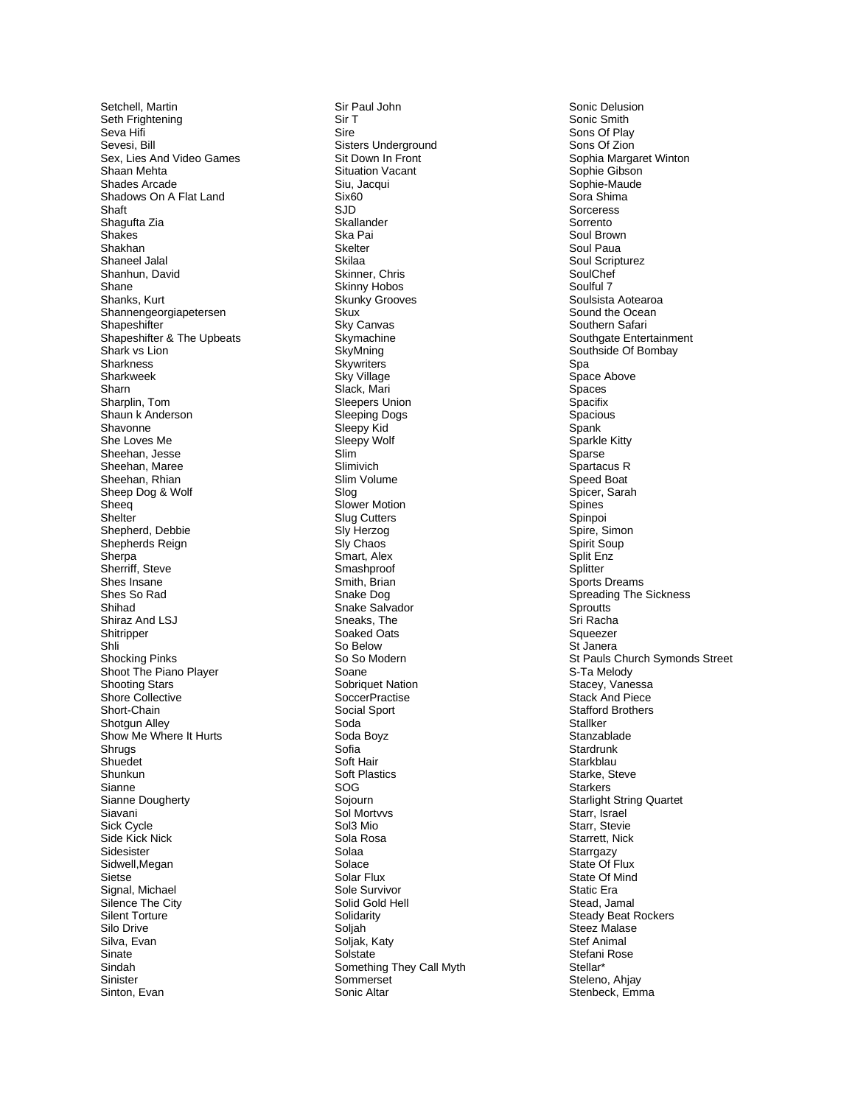Setchell, Martin Set h F righte ning S eva Hifi Seve si, Bill Se x, Li es A n d Video G a mes Shaan Meht a Shades A r cade Shadows On A Flat Land Sha f t Shagufta Zia S h a kes Shak h a n Sha neel Jalal Shanhun, David Shane Shanks, Kurt Shannengeorgiapetersen **Shapeshifter** Shapeshifter & The Upbeats S hark v s Lion **Sharkness** Sharkweek Sharn Sharplin , To m Shaun k Anderson Shavon n e Sh e Lov e s Me Sheehan, Jesse Sheehan, Maree Sheehan, Rhian Sheep Dog & Wolf Sheeq **Shelter** Shepherd, Debbie Shepherds Reign S herp a Sherriff, Steve Shes Ins ane Shes So Rad Shih a d S hir az And LSJ **Shitripper** S hli Sho cking Pinks Shoot The Piano Player S h ooting Star s Shore Collective Short - Chai n Shotgun Alley Show Me Where It Hurts Sh r ugs Shuedet Shunkun Siann e Sianne Dougherty Siavani Sick Cycle Side Kick Nick Sidesister Sidwell,Megan Sietse Signal, Michael Silence The City Silent Torture Silo Drive Silva, Evan Sinate Sin d a h Sinister Sinton, Evan

Sir Paul J ohn Sir T Sir e Sisters Underground Sit Down In Front Situation Vacant Siu, Jacqui Six60 SJ D **Skallander** Ska Pai Skelter Skilaa Skinner , Chris Skinny Hobos Skunky Grooves S kux Sky Canvas **Skymachine SkyMning Skywriters** Sk y Vill age Slack, Mari Sleepers Unio n Sleeping Dogs Sleep y Ki d Sleepy Wolf Slim Slimivich Slim Volum e Slog Slower Motion Slug Cutters Sly Herzog Sly Chao s Smart, Alex Smashproof Smith, Brian S nake Dog Sn a ke Salva dor S n eaks, T h e Soake d Oats So B elow So So Modern Soane Sobriquet Nation SoccerPractise Social Sport Sod a Soda Boyz S ofi a S oft Hai r Soft Plastics S O G Sojourn Sol Mortvvs S ol3 Mi o S ola Rosa Solaa Solace Solar Flu x Sole Survivor Solid Gold Hell **Solidarity** Solj a h Solja k, Katy Solstate Something They Call Myth Sommerset Sonic Altar

Sonic Delusion Sonic S mit h Sons Of Play Sons Of Zion Sophia Margaret Winton Sop hie Gibso n Sophie - M aude So ra S him a **Sorceress** Sorrento Soul Br own Soul Paua Soul Scripturez SoulChe f Soulful 7 Soulsista Aotearoa Sound the Ocean Southern Sa fari Southgate Entertainment Southside Of Bombay S p a S p a c e Ab ove Spaces Sp a cifix Spacious Spa n k Sparkle Kitty Sparse Spartacus R Speed Boat Spicer, Sarah **Spines** Spinpoi Spire, Simo n S pirit S oup Split Enz Splitter Sports Dreams Spr eading The Sicknes s Sproutts S ri R a cha Squeezer St Janera St Pauls Church Symonds Stree t S - Ta M elod y Stacey, Vanessa Stack And Piece Stafford Brothers Stallker Stanzablade Star drunk Starkblau Starke, Steve Stark ers Starlight String Quartet Starr, Israel Starr, Stevie Starrett, Nick Starrgazy State Of Flux State Of Mind Static Era Stead, Jamal Steady Beat R ock ers Steez Malase S tef Ani m al Stefani Ros e Stellar\* Steleno, Ahjay Stenbeck, Emma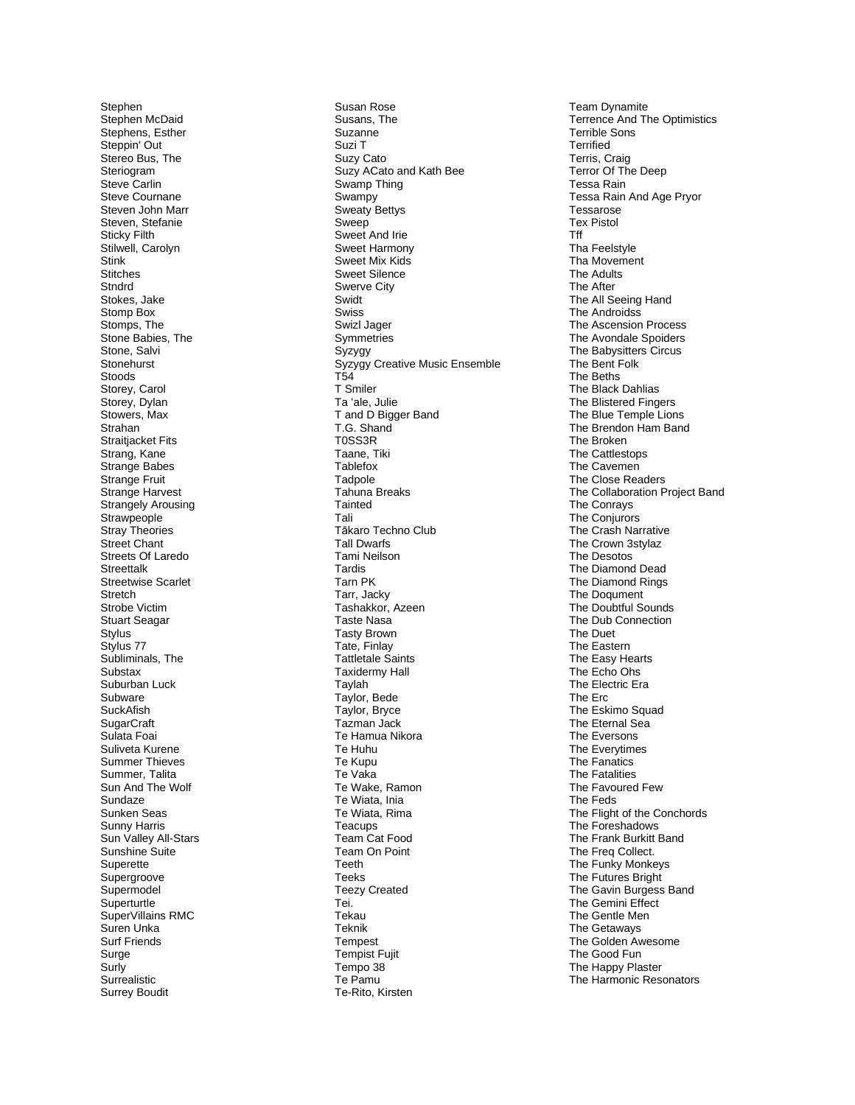Stephen Stephe n McDaid Stephens, Esther S teppin' Out Stereo Bus, The Steriogram S tev e Carlin Steve Courna n e Stev en John Marr Steven, Stefanie S ticky Filth Stilwell, Carolyn Stink **Stitches** S tndrd S tok e s, Jake Stomp Box Stomps, The Stone Babies, The Stone , Sal vi Stonehurst S t ood s Storey, Carol Storey, Dylan Stowers, Max Strahan Straitjacket Fits Strang, Kane Strange Babe s Strange Fruit Strange Harvest Strangely Arousing **Strawpeople** Str ay The ories Street Chant Streets Of Laredo Streettalk Streetwise Scarlet Stretch Strobe Victim Stuart Seagar Stylus Stylus 77 Subliminals, The Substax Suburban Luck Subware S u ckAfi s h SugarCraft Sulata Foai Suliveta Kurene Summer Thieves S umm er, Talita Sun And The Wolf Sundaze Sunken Sea s Sunny H arri s Sun Valley All-Stars Sunshine Suite **Superette** Supergroove Supermodel **Superturtle** SuperVillains R M C S u ren U nka Sur f Frien d s Surge Surly Surrealistic Surrey Boudit

Susan Rose Susans, The Suzanne Suzi T Suzy Cato Suzy ACato and Kath Bee Swam p T hin g S w ampy Sweaty Bettys Sweep Sweet And Irie Sweet Harmony Sweet Mix Kids Sweet Silence S w erve Cit y Swidt S wis s Swizl Jager **Symmetries** Sy zygy Syzygy Creative Music Ensemble T 5 4 T Smile r T a 'al e, J ulie T and D Bigger Band T .G. Shand T0SS3R Taane, Tiki **Tablefox Tadpole** Tahuna Breaks Tainte d Tali Tākaro T ech no Club Tall Dwarfs T a mi Neilso n Tardi s Tarn P K T a rr, Jacky Tashakk o r, Azeen Taste Nasa T asty B row n T ate, Finla y Tattletale Saints Ta xidermy Hall Tayla h Taylor, Bede Taylor, Bryce Tazman Jack Te Hamua Nikora Te Huhu Te Kupu Te Vak a Te Wake, Ram o n Te Wiata , Ini a T e Wiata, Rima **Teacups** Team Cat Food Team On Point Te eth Teek s Teezy Created Tei. Tekau Teknik Tempest Tempist Fu jit Tempo 38 Te Pamu Te -Rit o, Kirsten

Tea m Dy namite Te rrence And The Optimistics Te r rible Sons T erri fied Terris, Craig Terror Of The Deep Tessa Rain Tessa Rain And Age Pry o r Tessarose Tex Pistol Tf f Tha Feelstyle Tha Movemen t The Adults The After The All Seeing Hand Th e Android s s The Ascensi on P rocess The Avondale Spoiders The B abysitters Circ u s The Ben t Fol k The Beths The Black Dahlias The Blistered Fingers The Blue Temple Lions T he Brendon Ham B and The Broken The Cattlest ops The Cavemen T h e Close Reader s The Collaboration Project Band T h e Conr ays The Conjurors The Crash Nar rative The Crow n 3stylaz The Desot o s The Diamond Dead The Diamond Ri ngs The Do q umen t The Dou btful S ounds T h e Dub Connection T he Duet The East ern Th e Ea s y Hearts T h e Ech o Ohs The Electric Era The Erc The Eskimo Squa d Th e Etern al Sea The Everson s Th e Everyti mes The Fanatic s The Fatalitie s Th e Favoured Few Th e Feds The Flight of the Conchords The Fo reshado w s The F r ank Burkitt Ban d The Freq Collect . T he Funk y Monkeys The Futures Bright The G a vin Burg ess B and The Gemini Effect The Gentle Men The Get away s The Gold e n Awesome The Good Fun The Happy Plaster The Harmonic Resonators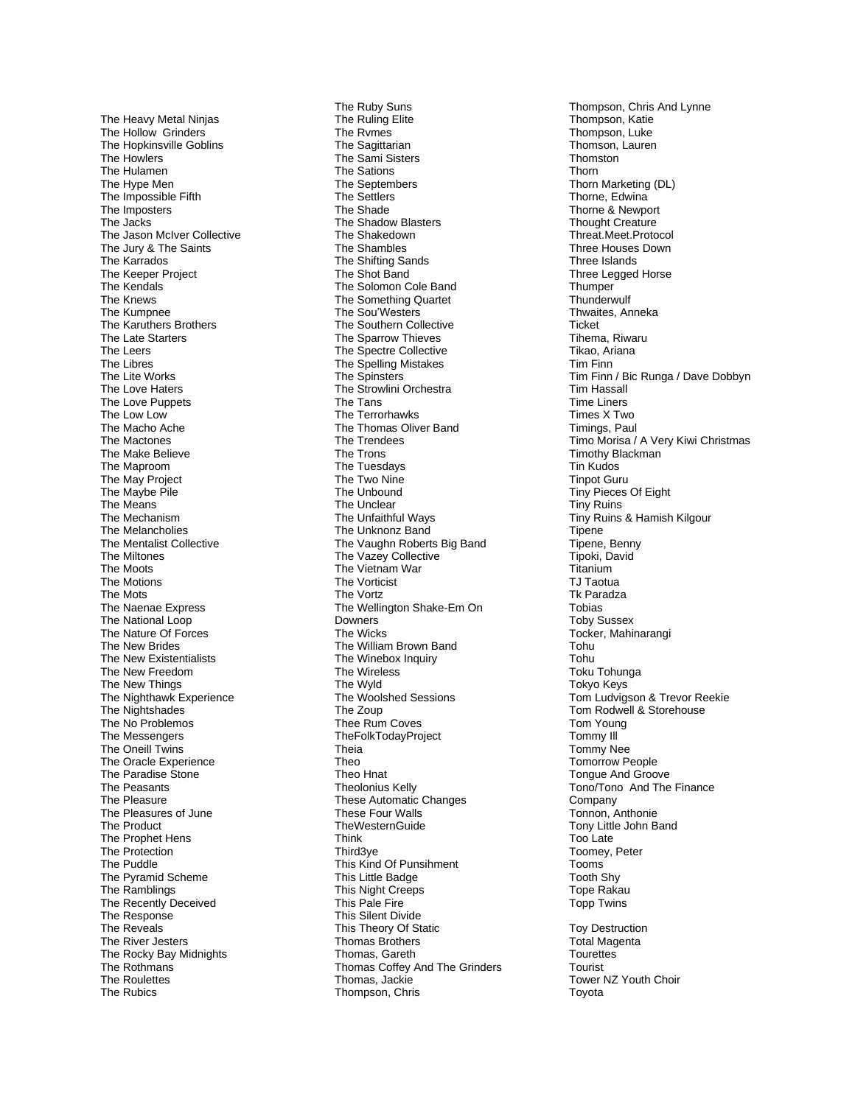The Heavy Metal Ninja s The Holl o w Grinders Th e Hopkin sville G oblins T h e Howle r s The Hulamen The Hype Men The Impossible Fifth The Imposters T he Jacks The Jason McIver Collective The Jury & The Saint s The Karr ados The Keeper Project The Kendals The Knews The Kumpnee The Karuthers Brothers The Late Starters The Leers The Libres The Lit e Works T he L ove H ater s The Love Puppets T he L ow L o w The Mac ho Ache T h e Mactones T h e Ma ke Believ e The Maproom The May Project The Ma ybe Pile T h e Mean s The Mechanis m The Melancholies Th e Mentalist Collective The Miltones The Moot s The Motions The Mots The N a e nae E xpress The National Loop The Nature Of Forces The New Bride s The New Existentialists The Ne w Fre edom The New Things The Nighthaw k E xperienc e T h e Nightshade s The No Problemos The Messengers The Oneill Twins T he Or acl e Experience The Paradi se Stone The Peasants The Pleasur e The Plea sures of Jun e The P roduc t The Prophet Hens The Protection The Puddl e The Pyramid S chem e The Ram blings The Recently Deceived The R e s p onse The Reveals The River Jesters The Rocky Bay Midnights Th e Rot h man s The Roulettes The Rubics

The Ru by Sun s Th e Ruling Elite The Rvmes The Sagittaria n The S ami Sisters The Sations Th e Septe m bers Th e Settlers The Sh ade The Shadow Blasters The S haked o w n Th e Shambles T h e Shiftin g San d s Th e Shot Ban d Th e Solomon Cole Ba n d The Something Quartet The So u'We sters The Sout hern Collectiv e The Sparr o w Thieves T h e Spectre Collecti v e The Spelling Mistakes The S pinste r s The Strowlini Orchestra The Tan s Th e Terror h awks The Tho mas Oliver B and The Trendees The Trons T he Tues d a y s The Two Nine Th e Un b o und The Unclear The Unfaithful Ways The Unknonz Band The Vaughn Roberts Big Band The Vazey Collective Th e Viet nam War The Vorticist The Vortz The Wellington Shake-Em On D o wners Th e Wi cks The William B rown Ban d The Winebox Inquiry T h e Wireles s T he Wyl d T h e Woolsh ed Se ssions The Zoup Thee Rum Coves **TheFolkTodayProject** Theia Theo Theo Hnat Theolo nius Kelly Thes e A uto matic Ch anges These Four W all s Th eWesternGuide Thin k Third3 y e Thi s Kind O f P u nsihment This Li ttle Badge This Night Cre eps T his Pale Fir e This Silent Divid e This Theory Of Static Tho mas Br others Th o mas, Gar eth T homas Coffey A nd The G rinder s Tho mas , Ja cki e Thompson, Chri s

Thompson , Ch ris A nd Lynne T h o mpson , Ka tie Thompson, Luke Thomson , L auren **Thomston** Thorn Thorn Mark eting (DL ) Thorne, Edwina Thorne & Newport Thought Creature Threat.Meet.Protocol Thr ee Hou ses Down T hree Isl and s Three Legged H orse **Thumper Thunderwulf** Th wai tes , Anneka Ticke t Tihema , Riwar u Tikao, A riana Tim Finn Ti m Finn / Bic Rung a / Dave Dob b y n Tim Hassall Time Liners Ti m e s X Two Timin gs, Paul Timo Morisa / A Very Kiwi Christmas Timot h y Black man Ti n Kudo s Tin p ot Gur u Ti ny Piece s Of Eig h t Tin y Rui n s Tiny R uin s & H ami sh Kil g our **Tipene** Tipene, Benny Ti p oki, D a vid **Titanium** TJ Taotu a Tk Paradza To bias To b y Su s sex Tocker, Mahina rangi Tohu Toh u T o ku Tohung a Tokyo Keys Tom Ludvigson & Trevor Reekie Tom Rodwell & Storehouse Tom Young Tommy Ill To m m y Ne e Tomorrow Peo ple Tongue And Groove Tono/Tono And The Finance Company Tonnon, Anthonie Ton y Li ttl e Jo h n Band T oo L ate Toomey, Peter T ooms Tooth Sh y Tope Rakau Topp Twins Toy Destructio n Total Magent a **Tourettes** Tourist T owe r NZ Youth Ch oir T oyot a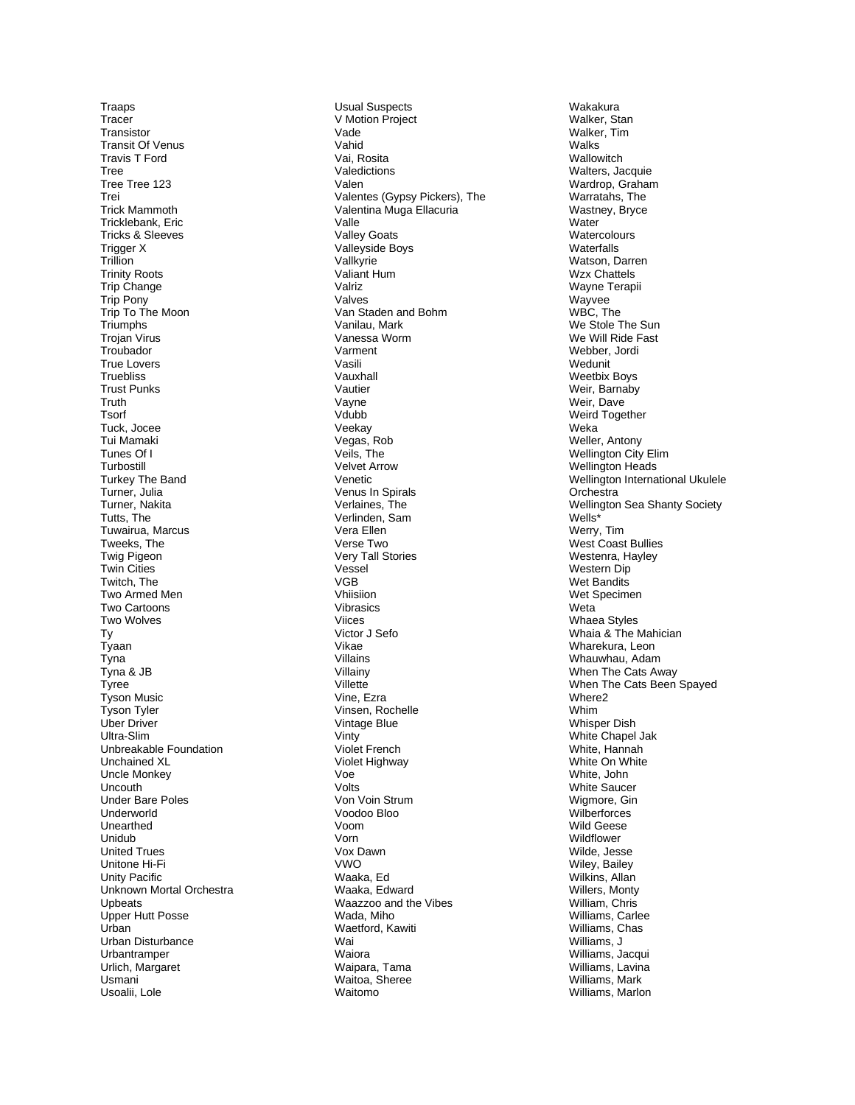**Traaps** Tracer Transistor **Transit Of Venus Travis T Ford** Tree Tree Tree 123 Trei **Trick Mammoth** Tricklebank, Eric **Tricks & Sleeves** Trigger X Trillion **Trinity Roots** Trip Change Trip Pony Trip To The Moon Triumphs Trojan Virus Troubador True Lovers **Truebliss Trust Punks** Truth Tsorf Tuck, Jocee Tui Mamaki Tunes Of I Turbostill **Turkey The Band** Turner, Julia Turner, Nakita Tutts, The Tuwairua, Marcus Tweeks, The **Twig Pigeon** Twin Cities Twitch, The Two Armed Men Two Cartoons Two Wolves Ty Tyaan Tyna Tyna & JB Tyree Tyson Music Tyson Tyler Uber Driver Ultra-Slim Unbreakable Foundation Unchained XL **Uncle Monkey** Uncouth **Under Bare Poles** Underworld Unearthed Unidub **United Trues** Unitone Hi-Fi Unity Pacific Unknown Mortal Orchestra **Upbeats** Upper Hutt Posse Urban Urban Disturbance Urbantramper Urlich, Margaret Usmani Usoalii, Lole

**Usual Suspects** V Motion Project Vade Vahid Vai, Rosita Valedictions Valen Valentes (Gypsy Pickers), The Valentina Muga Ellacuria Valle **Valley Goats** Valleyside Boys Vallkyrie Valiant Hum Valriz Valves Van Staden and Bohm Vanilau, Mark Vanessa Worm Varment **Vacili** Vauxhall Vautier Vavne Vdubb Veekay Vegas, Rob Veils, The **Velvet Arrow** Venetic Venus In Spirals Verlaines, The Verlinden, Sam Vera Ellen Verse Two Very Tall Stories Vessel **VGB** Vhiisiion Vibrasics Viices Victor J Sefo Vikae Villains Villainy Villette Vine, Ezra Vinsen, Rochelle Vintage Blue Vinty Violet French Violet Highway Voe  $V$ olte Von Voin Strum Voodoo Bloo Voom  $V \cap r \cap$ Vox Dawn  $VMO$ Waaka, Ed Waaka, Edward Waazzoo and the Vibes Wada, Miho Waetford, Kawiti Wai Waiora Waipara, Tama Waitoa, Sheree Waitomo

Wakakura Walker, Stan Walker, Tim **Walks** Wallowitch Walters, Jacquie Wardrop, Graham Warratahs, The Wastney, Bryce Water Watercolours Waterfalls Watson, Darren **Wzx Chattels** Wavne Terapii Wayvee WBC, The We Stole The Sun We Will Ride Fast Webber, Jordi Wedunit **Weetbix Boys** Weir, Barnaby Weir. Dave Weird Together Weka Weller, Antony Wellington City Elim **Wellington Heads** Wellington International Ukulele Orchestra Wellington Sea Shanty Society Wells<sup>\*</sup> Werry, Tim West Coast Bullies Westenra, Hayley Western Dip Wet Bandits Wet Specimen Weta Whaea Styles Whaia & The Mahician Wharekura, Leon Whauwhau, Adam When The Cats Away When The Cats Been Spayed Where<sub>2</sub> Whim **Whisper Dish** White Chapel Jak White, Hannah White On White White, John **White Saucer** Wigmore, Gin Wilberforces Wild Geese Wildflower Wilde, Jesse Wiley, Bailey Wilkins, Allan Willers, Monty William, Chris Williams, Carlee Williams, Chas Williams, J Williams, Jacqui Williams, Lavina Williams, Mark Williams, Marlon